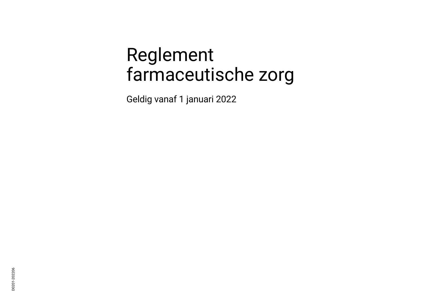# Reglement farmaceutische zorg

Geldig vanaf 1 januari 2022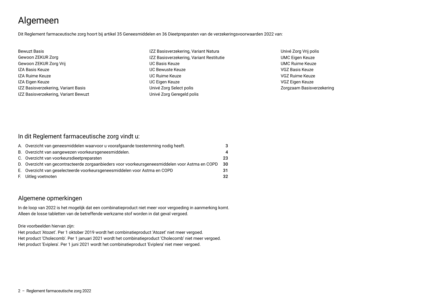## Algemeen

Dit Reglement farmaceutische zorg hoort bij artikel 35 Geneesmiddelen en 36 Dieetpreparaten van de verzekeringsvoorwaarden 2022 van:

| <b>Bewuzt Basis</b>                  | IZZ Basisverzekering, Variant Natura     | Univé Zorg Vrij polis     |
|--------------------------------------|------------------------------------------|---------------------------|
| Gewoon ZEKUR Zorg                    | IZZ Basisverzekering, Variant Restitutie | <b>UMC Eigen Keuze</b>    |
| Gewoon ZEKUR Zorg Vrij               | <b>UC Basis Keuze</b>                    | <b>UMC Ruime Keuze</b>    |
| IZA Basis Keuze                      | UC Bewuste Keuze                         | VGZ Basis Keuze           |
| IZA Ruime Keuze                      | UC Ruime Keuze                           | VGZ Ruime Keuze           |
| IZA Eigen Keuze                      | UC Eigen Keuze                           | VGZ Eigen Keuze           |
| IZZ Basisverzekering, Variant Basis  | Univé Zorg Select polis                  | Zorgzaam Basisverzekering |
| IZZ Basisverzekering, Variant Bewuzt | Univé Zorg Geregeld polis                |                           |

#### In dit Reglement farmaceutische zorg vindt u:

| A. Overzicht van geneesmiddelen waarvoor u voorafgaande toestemming nodig heeft.                |     |
|-------------------------------------------------------------------------------------------------|-----|
| B. Overzicht van aangewezen voorkeursgeneesmiddelen.                                            | 4   |
| C. Overzicht van voorkeursdieetpreparaten                                                       | 23  |
| D. Overzicht van gecontracteerde zorgaanbieders voor voorkeursgeneesmiddelen voor Astma en COPD | -30 |
| E. Overzicht van geselecteerde voorkeursgeneesmiddelen voor Astma en COPD                       | 31  |
| F. Uitleg voetnoten                                                                             | 32  |

#### Algemene opmerkingen

In de loop van 2022 is het mogelijk dat een combinatieproduct niet meer voor vergoeding in aanmerking komt. Alleen de losse tabletten van de betreffende werkzame stof worden in dat geval vergoed.

#### Drie voorbeelden hiervan zijn:

Het product 'Atozet'. Per 1 oktober 2019 wordt het combinatieproduct 'Atozet' niet meer vergoed. Het product 'Cholecomb'. Per 1 januari 2021 wordt het combinatieproduct 'Cholecomb' niet meer vergoed. Het product 'Eviplera'. Per 1 juni 2021 wordt het combinatieproduct 'Eviplera' niet meer vergoed.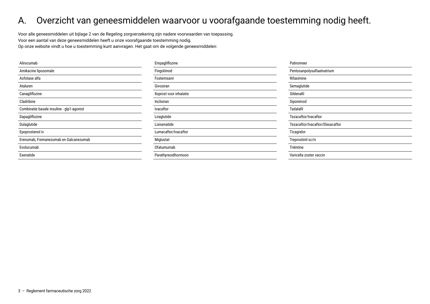#### <span id="page-2-0"></span>A. Overzicht van geneesmiddelen waarvoor u voorafgaande toestemming nodig heeft.

Voor alle geneesmiddelen uit bijlage 2 van de Regeling zorgverzekering zijn nadere voorwaarden van toepassing. Voor een aantal van deze geneesmiddelen heeft u onze voorafgaande toestemming nodig. Op onze website vindt u hoe u toestemming kunt aanvragen. Het gaat om de volgende geneesmiddelen:

| Alirocumab                                | Empagliflozine          | Patiromeer                       |
|-------------------------------------------|-------------------------|----------------------------------|
| Amikacine liposomale                      | Fingolimod              | Pentosanpolysulfaatnatrium       |
| Asfotase alfa                             | Fostemsavir             | Rifaximine                       |
| Ataluren                                  | Givosiran               | Semaglutide                      |
| Canagliflozine                            | Iloprost voor inhalatie | Sildenafil                       |
| Cladribine                                | Inclisiran              | Siponimod                        |
| Combinatie basale insuline - glp1-agonist | Ivacaftor               | Tadalafil                        |
| Dapagliflozine                            | Liraglutide             | Tezacaftor/Ivacaftor             |
| Dulaglutide                               | Lixisenatide            | Tezacaftor/Ivacaftor/Elexacaftor |
| Epoprostenol iv                           | Lumacaftor/Ivacaftor    | Ticagrelor                       |
| Erenumab, Fremanezumab en Galcanezumab    | Miglustat               | Treprostinil sc/iv               |
| Evolocumab                                | Ofatumumab              | Triëntine                        |
| Exenatide                                 | Parathyreoidhormoon     | Varicella zoster vaccin          |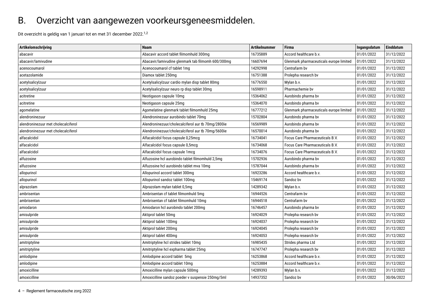#### <span id="page-3-0"></span>B. Overzicht van aangewezen voorkeursgeneesmiddelen.

Dit overzicht is geldig van 1 januari tot en met 31 december 2022.1,2

| Artikelomschrijving                 | <b>Naam</b>                                        | Artikelnummer | <b>Firma</b>                            | Ingangsdatum | Einddatum  |
|-------------------------------------|----------------------------------------------------|---------------|-----------------------------------------|--------------|------------|
| abacavir                            | Abacavir accord tablet filmomhuld 300mg            | 16735889      | Accord healthcare b.v.                  | 01/01/2022   | 31/12/2022 |
| abacavir/lamivudine                 | Abacavir/lamivudine glenmark tab filmomh 600/300mg | 16607694      | Glenmark pharmaceuticals europe limited | 01/01/2022   | 31/12/2022 |
| acenocoumarol                       | Acenocoumarol cf tablet 1mg                        | 14292998      | Centrafarm by                           | 01/01/2022   | 31/12/2022 |
| acetazolamide                       | Diamox tablet 250mg                                | 16751388      | Prolepha research bv                    | 01/01/2022   | 31/12/2022 |
| acetylsalicylzuur                   | Acetylsalicylzuur cardio mylan disp tablet 80mg    | 16776550      | Mylan b.v.                              | 01/01/2022   | 31/12/2022 |
| acetylsalicylzuur                   | Acetylsalicylzuur neuro rp disp tablet 30mg        | 16598911      | Pharmachemie by                         | 01/01/2022   | 31/12/2022 |
| acitretine                          | Neotigason capsule 10mg                            | 15364062      | Aurobindo pharma bv                     | 01/01/2022   | 31/12/2022 |
| acitretine                          | Neotigason capsule 25mg                            | 15364070      | Aurobindo pharma bv                     | 01/01/2022   | 31/12/2022 |
| agomelatine                         | Agomelatine glenmark tablet filmomhuld 25mg        | 16777212      | Glenmark pharmaceuticals europe limited | 01/01/2022   | 31/12/2022 |
| alendroninezuur                     | Alendroninezuur aurobindo tablet 70mg              | 15702804      | Aurobindo pharma bv                     | 01/01/2022   | 31/12/2022 |
| alendroninezuur met cholecalciferol | Alendroninezuur/cholecalciferol aur tb 70mg/2800ie | 16569989      | Aurobindo pharma bv                     | 01/01/2022   | 31/12/2022 |
| alendroninezuur met cholecalciferol | Alendroninezuur/cholecalciferol aur tb 70mg/5600ie | 16570014      | Aurobindo pharma bv                     | 01/01/2022   | 31/12/2022 |
| alfacalcidol                        | Alfacalcidol focus capsule 0,25mcg                 | 16734041      | Focus Care Pharmaceuticals B.V.         | 01/01/2022   | 31/12/2022 |
| alfacalcidol                        | Alfacalcidol focus capsule 0,5mcg                  | 16734068      | Focus Care Pharmaceuticals B.V.         | 01/01/2022   | 31/12/2022 |
| alfacalcidol                        | Alfacalcidol focus capsule 1mcg                    | 16734076      | <b>Focus Care Pharmaceuticals B.V.</b>  | 01/01/2022   | 31/12/2022 |
| alfuzosine                          | Alfuzosine hcl aurobindo tablet filmomhuld 2,5mg   | 15702936      | Aurobindo pharma bv                     | 01/01/2022   | 31/12/2022 |
| alfuzosine                          | Alfuzosine hcl aurobindo tablet mva 10mg           | 15787044      | Aurobindo pharma bv                     | 01/01/2022   | 31/12/2022 |
| allopurinol                         | Allopurinol accord tablet 300mg                    | 16923286      | Accord healthcare b.v.                  | 01/01/2022   | 31/12/2022 |
| allopurinol                         | Allopurinol sandoz tablet 100mg                    | 15469174      | Sandoz bv                               | 01/01/2022   | 31/12/2022 |
| alprazolam                          | Alprazolam mylan tablet 0,5mg                      | 14289342      | Mylan b.v.                              | 01/01/2022   | 31/12/2022 |
| ambrisentan                         | Ambrisentan cf tablet filmomhuld 5mg               | 16944526      | Centrafarm by                           | 01/01/2022   | 31/12/2022 |
| ambrisentan                         | Ambrisentan cf tablet filmomhuld 10mg              | 16944518      | Centrafarm by                           | 01/01/2022   | 31/12/2022 |
| amiodaron                           | Amiodaron hcl aurobindo tablet 200mg               | 16746457      | Aurobindo pharma bv                     | 01/01/2022   | 31/12/2022 |
| amisulpride                         | Aktiprol tablet 50mg                               | 16924029      | Prolepha research bv                    | 01/01/2022   | 31/12/2022 |
| amisulpride                         | Aktiprol tablet 100mg                              | 16924037      | Prolepha research bv                    | 01/01/2022   | 31/12/2022 |
| amisulpride                         | Aktiprol tablet 200mg                              | 16924045      | Prolepha research bv                    | 01/01/2022   | 31/12/2022 |
| amisulpride                         | Aktiprol tablet 400mg                              | 16924053      | Prolepha research bv                    | 01/01/2022   | 31/12/2022 |
| amitriptyline                       | Amitriptyline hcl strides tablet 10mg              | 16985435      | Strides pharma Ltd                      | 01/01/2022   | 31/12/2022 |
| amitriptyline                       | Amitriptyline hcl expharma tablet 25mg             | 16747747      | Prolepha research bv                    | 01/01/2022   | 31/12/2022 |
| amlodipine                          | Amlodipine accord tablet 5mg                       | 16253868      | Accord healthcare b.v.                  | 01/01/2022   | 31/12/2022 |
| amlodipine                          | Amlodipine accord tablet 10mg                      | 16253884      | Accord healthcare b.v.                  | 01/01/2022   | 31/12/2022 |
| amoxicilline                        | Amoxicilline mylan capsule 500mg                   | 14289393      | Mylan b.v.                              | 01/01/2022   | 31/12/2022 |
| amoxicilline                        | Amoxicilline sandoz poeder v suspensie 250mg/5ml   | 14937352      | Sandoz bv                               | 01/01/2022   | 30/06/2022 |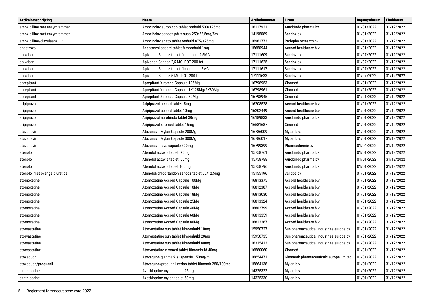| Artikelomschrijving            | <b>Naam</b>                                        | <b>Artikelnummer</b> | <b>Firma</b>                            | Ingangsdatum | Einddatum  |
|--------------------------------|----------------------------------------------------|----------------------|-----------------------------------------|--------------|------------|
| amoxicilline met enzymremmer   | Amoxi/clav aurobindo tablet omhuld 500/125mg       | 16117921             | Aurobindo pharma bv                     | 01/01/2022   | 31/12/2022 |
| amoxicilline met enzymremmer   | Amoxi/clav sandoz pdr v susp 250/62,5mg/5ml        | 14195089             | Sandoz bv                               | 01/01/2022   | 31/12/2022 |
| amoxicilline/clavulaanzuur     | Amoxi/clav aristo tablet omhuld 875/125mg          | 16961773             | Prolepha research bv                    | 01/01/2022   | 31/12/2022 |
| anastrozol                     | Anastrozol accord tablet filmomhuld 1mg            | 15650944             | Accord healthcare b.v.                  | 01/01/2022   | 31/12/2022 |
| apixaban                       | Apixaban Sandoz tablet fimomhuld 2,5MG             | 17111609             | Sandoz bv                               | 01/07/2022   | 31/12/2022 |
| apixaban                       | Apixaban Sandoz 2,5 MG, POT 200 fct                | 17111625             | Sandoz bv                               | 01/07/2022   | 31/12/2022 |
| apixaban                       | Apixaban Sandoz tablet filmomhuld 5MG              | 17111617             | Sandoz bv                               | 01/07/2022   | 31/12/2022 |
| apixaban                       | Apixaban Sandoz 5 MG, POT 200 fct                  | 17111633             | Sandoz bv                               | 01/07/2022   | 31/12/2022 |
| aprepitant                     | Aprepitant Xiromed Capsule 125Mg                   | 16798953             | Xiromed                                 | 01/01/2022   | 31/12/2022 |
| aprepitant                     | Aprepitant Xiromed Capsule 1X125Mg/2X80Mg          | 16798961             | Xiromed                                 | 01/01/2022   | 31/12/2022 |
| aprepitant                     | Aprepitant Xiromed Capsule 80Mg                    | 16798945             | Xiromed                                 | 01/01/2022   | 31/12/2022 |
| aripiprazol                    | Aripiprazol accord tablet 5mg                      | 16208528             | Accord healthcare b.v.                  | 01/01/2022   | 31/12/2022 |
| aripiprazol                    | Aripiprazol accord tablet 10mg                     | 16202449             | Accord healthcare b.v.                  | 01/01/2022   | 31/12/2022 |
| aripiprazol                    | Aripiprazol aurobindo tablet 30mg                  | 16189833             | Aurobindo pharma bv                     | 01/01/2022   | 31/12/2022 |
| aripiprazol                    | Aripiprazol xiromed tablet 15mg                    | 16581687             | Xiromed                                 | 01/01/2022   | 31/12/2022 |
| atazanavir                     | Atazanavir Mylan Capsule 200Mg                     | 16786009             | Mylan b.v.                              | 01/01/2022   | 31/12/2022 |
| atazanavir                     | Atazanavir Mylan Capsule 300Mg                     | 16786017             | Mylan b.v.                              | 01/01/2022   | 31/12/2022 |
| atazanavir                     | Atazanavir teva capsule 300mg                      | 16799399             | Pharmachemie bv                         | 01/04/2022   | 31/12/2022 |
| atenolol                       | Atenolol actavis tablet 25mg                       | 15758761             | Aurobindo pharma bv                     | 01/01/2022   | 31/12/2022 |
| atenolol                       | Atenolol actavis tablet 50mg                       | 15758788             | Aurobindo pharma bv                     | 01/01/2022   | 31/12/2022 |
| atenolol                       | Atenolol actavis tablet 100mg                      | 15758796             | Aurobindo pharma bv                     | 01/01/2022   | 31/12/2022 |
| atenolol met overige diuretica | Atenolol/chloortalidon sandoz tablet 50/12,5mg     | 15155196             | Sandoz bv                               | 01/01/2022   | 31/12/2022 |
| atomoxetine                    | Atomoxetine Accord Capsule 100Mg                   | 16813375             | Accord healthcare b.v.                  | 01/01/2022   | 31/12/2022 |
| atomoxetine                    | Atomoxetine Accord Capsule 10Mg                    | 16812387             | Accord healthcare b.v.                  | 01/01/2022   | 31/12/2022 |
| atomoxetine                    | Atomoxetine Accord Capsule 18Mg                    | 16813030             | Accord healthcare b.v.                  | 01/01/2022   | 31/12/2022 |
| atomoxetine                    | Atomoxetine Accord Capsule 25Mg                    | 16813324             | Accord healthcare b.v.                  | 01/01/2022   | 31/12/2022 |
| atomoxetine                    | Atomoxetine Accord Capsule 40Mg                    | 16802799             | Accord healthcare b.v.                  | 01/01/2022   | 31/12/2022 |
| atomoxetine                    | Atomoxetine Accord Capsule 60Mg                    | 16813359             | Accord healthcare b.v.                  | 01/01/2022   | 31/12/2022 |
| atomoxetine                    | Atomoxetine Accord Capsule 80Mg                    | 16813367             | Accord healthcare b.v.                  | 01/01/2022   | 31/12/2022 |
| atorvastatine                  | Atorvastatine sun tablet filmomhuld 10mg           | 15950727             | Sun pharmaceutical industries europe bv | 01/01/2022   | 31/12/2022 |
| atorvastatine                  | Atorvastatine sun tablet filmomhuld 20mg           | 15950735             | Sun pharmaceutical industries europe by | 01/01/2022   | 31/12/2022 |
| atorvastatine                  | Atorvastatine sun tablet filmomhuld 80mg           | 16315413             | Sun pharmaceutical industries europe by | 01/01/2022   | 31/12/2022 |
| atorvastatine                  | Atorvastatine xiromed tablet filmomhuld 40mg       | 16580060             | Xiromed                                 | 01/01/2022   | 31/12/2022 |
| atovaquon                      | Atovaguon glenmark suspensie 150mg/ml              | 16654471             | Glenmark pharmaceuticals europe limited | 01/01/2022   | 31/12/2022 |
| atovaquon/proquanil            | Atovaguon/proguanil mylan tablet filmomh 250/100mg | 15864138             | Mylan b.v.                              | 01/01/2022   | 31/12/2022 |
| azathioprine                   | Azathioprine mylan tablet 25mg                     | 14325322             | Mylan b.v.                              | 01/01/2022   | 31/12/2022 |
| azathioprine                   | Azathioprine mylan tablet 50mg                     | 14325330             | Mylan b.v.                              | 01/01/2022   | 31/12/2022 |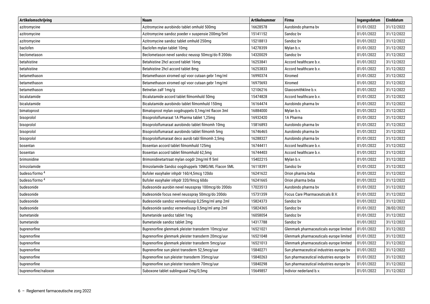| Artikelomschrijving       | <b>Naam</b>                                        | <b>Artikelnummer</b> | <b>Firma</b>                            | Ingangsdatum | Einddatum  |
|---------------------------|----------------------------------------------------|----------------------|-----------------------------------------|--------------|------------|
| azitromycine              | Azitromycine aurobindo tablet omhuld 500mg         | 16628578             | Aurobindo pharma bv                     | 01/01/2022   | 31/12/2022 |
| azitromycine              | Azitromycine sandoz poeder v suspensie 200mg/5ml   | 15141152             | Sandoz bv                               | 01/01/2022   | 31/12/2022 |
| azitromycine              | Azitromycine sandoz tablet omhuld 250mg            | 15218813             | Sandoz bv                               | 01/01/2022   | 31/12/2022 |
| baclofen                  | Baclofen mylan tablet 10mg                         | 14278359             | Mylan b.v.                              | 01/01/2022   | 31/12/2022 |
| beclometason              | Beclometason nevel sandoz neussp 50mcg/do fl 200do | 14320029             | Sandoz by                               | 01/01/2022   | 31/12/2022 |
| betahistine               | Betahistine 2hcl accord tablet 16mg                | 16253841             | Accord healthcare b.v.                  | 01/01/2022   | 31/12/2022 |
| betahistine               | Betahistine 2hcl accord tablet 8mg                 | 16253833             | Accord healthcare b.v.                  | 01/01/2022   | 31/12/2022 |
| betamethason              | Betamethason xiromed opl voor cutaan gebr 1mg/ml   | 16990374             | Xiromed                                 | 01/01/2022   | 31/12/2022 |
| betamethason              | Betamethason xiromed opl voor cutaan gebr 1mg/ml   | 16975693             | Xiromed                                 | 01/01/2022   | 31/12/2022 |
| betamethason              | Betnelan zalf 1mg/g                                | 12106216             | Glaxosmithkline b.v.                    | 01/01/2022   | 31/12/2022 |
| bicalutamide              | Bicalutamide accord tablet filmomhuld 50mg         | 15474828             | Accord healthcare b.v.                  | 01/01/2022   | 31/12/2022 |
| bicalutamide              | Bicalutamide aurobindo tablet filmomhuld 150mg     | 16164474             | Aurobindo pharma bv                     | 01/01/2022   | 31/12/2022 |
| bimatoprost               | Bimatoprost mylan oogdruppels 0,1mg/ml flacon 3ml  | 16884000             | Mylan b.v.                              | 01/01/2022   | 31/12/2022 |
| bisoprolol                | Bisoprololfumaraat 1A Pharma tablet 1,25mg         | 16932420             | 1A Pharma                               | 01/01/2022   | 31/12/2022 |
| bisoprolol                | Bisoprololfumaraat aurobindo tablet filmomh 10mg   | 15816893             | Aurobindo pharma bv                     | 01/01/2022   | 31/12/2022 |
| bisoprolol                | Bisoprololfumaraat aurobindo tablet filmomh 5mg    | 16746465             | Aurobindo pharma bv                     | 01/01/2022   | 31/12/2022 |
| bisoprolol                | Bisoprololfumaraat deco aurob tabl filmomh 2,5mg   | 16288327             | Aurobindo pharma bv                     | 01/01/2022   | 31/12/2022 |
| bosentan                  | Bosentan accord tablet filmomhuld 125mg            | 16744411             | Accord healthcare b.v.                  | 01/01/2022   | 31/12/2022 |
| bosentan                  | Bosentan accord tablet filmomhuld 62,5mg           | 16744403             | Accord healthcare b.v.                  | 01/01/2022   | 31/12/2022 |
| brimonidine               | Brimonidinetartraat mylan oogdr 2mg/ml fl 5ml      | 15402215             | Mylan b.v.                              | 01/01/2022   | 31/12/2022 |
| brinzolamide              | Brinzolamide Sandoz oogdruppels 10MG/ML Flacon 5ML | 16118391             | Sandoz bv                               | 01/01/2022   | 31/12/2022 |
| budeso/formo <sup>4</sup> | Bufoler easyhaler inhpdr 160/4,5mcg 120do          | 16241622             | Orion pharma bvba                       | 01/01/2022   | 31/12/2022 |
| budeso/formo <sup>4</sup> | Bufoler easyhaler inhpdr 320/9mcg 60do             | 16241665             | Orion pharma bvba                       | 01/01/2022   | 31/12/2022 |
| budesonide                | Budesonide aurobin nevel neusspray 100mcg/do 200do | 17023513             | Aurobindo pharma bv                     | 01/01/2022   | 31/12/2022 |
| budesonide                | Budesonide focus nevel neusspray 50mcg/do 200do    | 15731359             | Focus Care Pharmaceuticals B.V.         | 01/01/2022   | 31/12/2022 |
| budesonide                | Budesonide sandoz vernevelsusp 0,25mg/ml amp 2ml   | 15824373             | Sandoz bv                               | 01/01/2022   | 31/12/2022 |
| budesonide                | Budesonide sandoz vernevelsusp 0,5mg/ml amp 2ml    | 15824365             | Sandoz bv                               | 01/01/2022   | 28/02/2022 |
| bumetanide                | Bumetanide sandoz tablet 1mg                       | 16058054             | Sandoz bv                               | 01/01/2022   | 31/12/2022 |
| bumetanide                | Bumetanide sandoz tablet 2mg                       | 14317788             | Sandoz by                               | 01/01/2022   | 31/12/2022 |
| buprenorfine              | Buprenorfine glenmark pleister transderm 10mcg/uur | 16521021             | Glenmark pharmaceuticals europe limited | 01/01/2022   | 31/12/2022 |
| buprenorfine              | Buprenorfine glenmark pleister transderm 20mcg/uur | 16521048             | Glenmark pharmaceuticals europe limited | 01/01/2022   | 31/12/2022 |
| buprenorfine              | Buprenorfine glenmark pleister transderm 5mcg/uur  | 16521013             | Glenmark pharmaceuticals europe limited | 01/01/2022   | 31/12/2022 |
| buprenorfine              | Buprenorfine sun pleist transderm 52,5mcg/uur      | 15840271             | Sun pharmaceutical industries europe bv | 01/01/2022   | 31/12/2022 |
| buprenorfine              | Buprenorfine sun pleister transderm 35mcg/uur      | 15840263             | Sun pharmaceutical industries europe bv | 01/01/2022   | 31/12/2022 |
| buprenorfine              | Buprenorfine sun pleister transderm 70mcg/uur      | 15840298             | Sun pharmaceutical industries europe bv | 01/01/2022   | 31/12/2022 |
| buprenorfine/naloxon      | Suboxone tablet sublinguaal 2mg/0,5mg              | 15649857             | Indivior nederland b.v.                 | 01/01/2022   | 31/12/2022 |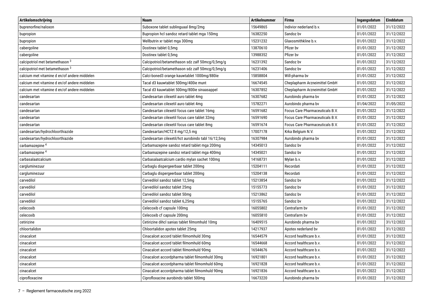| Artikelomschrijving                          | <b>Naam</b>                                        | <b>Artikelnummer</b> | <b>Firma</b>                    | Ingangsdatum | Einddatum  |
|----------------------------------------------|----------------------------------------------------|----------------------|---------------------------------|--------------|------------|
| buprenorfine/naloxon                         | Suboxone tablet sublinguaal 8mg/2mg                | 15649865             | Indivior nederland b.v.         | 01/01/2022   | 31/12/2022 |
| bupropion                                    | Bupropion hcl sandoz retard tablet mga 150mg       | 16382250             | Sandoz bv                       | 01/01/2022   | 31/12/2022 |
| bupropion                                    | Wellbutrin xr tablet mga 300mg                     | 15231232             | Glaxosmithkline b.v.            | 01/01/2022   | 31/12/2022 |
| cabergoline                                  | Dostinex tablet 0,5mg                              | 13870610             | Pfizer by                       | 01/01/2022   | 31/12/2022 |
| cabergoline                                  | Dostinex tablet 0,5mg                              | 13988352             | Pfizer by                       | 01/01/2022   | 31/12/2022 |
| calcipotriol met betamethason <sup>3</sup>   | Calcipotriol/betamethason sdz zalf 50mcg/0,5mg/g   | 16231392             | Sandoz by                       | 01/01/2022   | 31/12/2022 |
| calcipotriol met betamethason 3              | Calcipotriol/betamethason sdz zalf 50mcg/0,5mg/g   | 16231406             | Sandoz by                       | 01/01/2022   | 31/12/2022 |
| calcium met vitamine d en/of andere middelen | Calci-boned3 orange kauwtablet 1000mg/880ie        | 15858804             | Will-pharma bv                  | 01/01/2022   | 31/12/2022 |
| calcium met vitamine d en/of andere middelen | Tacal d3 kauwtablet 500mg/400ie munt               | 16674545             | Cheplapharm Arzneimittel GmbH   | 01/01/2022   | 31/12/2022 |
| calcium met vitamine d en/of andere middelen | Tacal d3 kauwtablet 500mg/800ie sinaasappel        | 16307852             | Cheplapharm Arzneimittel GmbH   | 01/01/2022   | 31/12/2022 |
| candesartan                                  | Candesartan cilexetil auro tablet 4mg              | 16307682             | Aurobindo pharma bv             | 01/01/2022   | 31/12/2022 |
| candesartan                                  | Candesartan cilexetil auro tablet 4mg              | 15782271             | Aurobindo pharma bv             | 01/04/2022   | 31/05/2022 |
| candesartan                                  | Candesartan cilexetil focus care tablet 16mg       | 16591682             | Focus Care Pharmaceuticals B.V. | 01/01/2022   | 31/12/2022 |
| candesartan                                  | Candesartan cilexetil focus care tablet 32mg       | 16591690             | Focus Care Pharmaceuticals B.V. | 01/01/2022   | 31/12/2022 |
| candesartan                                  | Candesartan cilexetil focus care tablet 8mg        | 16591674             | Focus Care Pharmaceuticals B.V. | 01/01/2022   | 31/12/2022 |
| candesartan/hydrochloorthiazide              | Candesartan/HCTZ 8 mg/12,5 mg                      | 17007178             | Krka Belgium N.V.               | 01/01/2022   | 31/12/2022 |
| candesartan/hydrochloorthiazide              | Candesartan cilexetil/hct aurobindo tabl 16/12,5mg | 16307984             | Aurobindo pharma bv             | 01/01/2022   | 31/12/2022 |
| carbamazepine <sup>4</sup>                   | Carbamazepine sandoz retard tablet mga 200mg       | 14345013             | Sandoz bv                       | 01/01/2022   | 31/12/2022 |
| carbamazepine <sup>4</sup>                   | Carbamazepine sandoz retard tablet mga 400mg       | 14345021             | Sandoz bv                       | 01/01/2022   | 31/12/2022 |
| carbasalaatcalcium                           | Carbasalaatcalcium cardio mylan sachet 100mg       | 14168731             | Mylan b.v.                      | 01/01/2022   | 31/12/2022 |
| cargluminezuur                               | Carbaglu dispergeerbaar tablet 200mg               | 15204111             | Recordati                       | 01/01/2022   | 31/12/2022 |
| cargluminezuur                               | Carbaglu dispergeerbaar tablet 200mg               | 15204138             | Recordati                       | 01/01/2022   | 31/12/2022 |
| carvedilol                                   | Carvedilol sandoz tablet 12,5mg                    | 15213854             | Sandoz bv                       | 01/01/2022   | 31/12/2022 |
| carvedilol                                   | Carvedilol sandoz tablet 25mg                      | 15155773             | Sandoz bv                       | 01/01/2022   | 31/12/2022 |
| carvedilol                                   | Carvedilol sandoz tablet 50mg                      | 15213862             | Sandoz by                       | 01/01/2022   | 31/12/2022 |
| carvedilol                                   | Carvedilol sandoz tablet 6,25mg                    | 15155765             | Sandoz by                       | 01/01/2022   | 31/12/2022 |
| celecoxib                                    | Celecoxib cf capsule 100mg                         | 16055802             | Centrafarm by                   | 01/01/2022   | 31/12/2022 |
| celecoxib                                    | Celecoxib cf capsule 200mg                         | 16055810             | Centrafarm by                   | 01/01/2022   | 31/12/2022 |
| cetirizine                                   | Cetirizine dihcl sanias tablet filmomhuld 10mg     | 16409515             | Aurobindo pharma bv             | 01/01/2022   | 31/12/2022 |
| chloortalidon                                | Chloortalidon apotex tablet 25mg                   | 14217937             | Apotex nederland bv             | 01/01/2022   | 31/12/2022 |
| cinacalcet                                   | Cinacalcet accord tablet filmomhuld 30mg           | 16544579             | Accord healthcare b.v.          | 01/01/2022   | 31/12/2022 |
| cinacalcet                                   | Cinacalcet accord tablet filmomhuld 60mg           | 16544668             | Accord healthcare b.v.          | 01/01/2022   | 31/12/2022 |
| cinacalcet                                   | Cinacalcet accord tablet filmomhuld 90mg           | 16544676             | Accord healthcare b.v.          | 01/01/2022   | 31/12/2022 |
| cinacalcet                                   | Cinacalcet accordpharma tablet filmomhuld 30mg     | 16921801             | Accord healthcare b.v.          | 01/01/2022   | 31/12/2022 |
| cinacalcet                                   | Cinacalcet accordpharma tablet filmomhuld 60mg     | 16921828             | Accord healthcare b.v.          | 01/01/2022   | 31/12/2022 |
| cinacalcet                                   | Cinacalcet accordpharma tablet filmomhuld 90mg     | 16921836             | Accord healthcare b.v.          | 01/01/2022   | 31/12/2022 |
| ciprofloxacine                               | Ciprofloxacine aurobindo tablet 500mg              | 16673220             | Aurobindo pharma by             | 01/01/2022   | 31/12/2022 |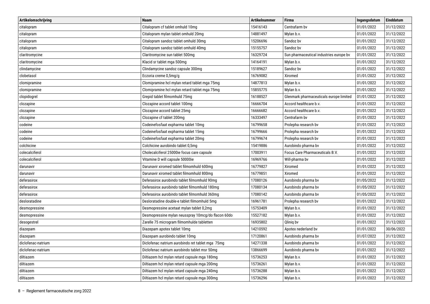| Artikelomschrijving | <b>Naam</b>                                        | <b>Artikelnummer</b> | <b>Firma</b>                            | Ingangsdatum | Einddatum  |
|---------------------|----------------------------------------------------|----------------------|-----------------------------------------|--------------|------------|
| citalopram          | Citalopram cf tablet omhuld 10mg                   | 15416143             | Centrafarm by                           | 01/01/2022   | 31/12/2022 |
| citalopram          | Citalopram mylan tablet omhuld 20mg                | 14881497             | Mylan b.v.                              | 01/01/2022   | 31/12/2022 |
| citalopram          | Citalopram sandoz tablet omhuld 30mg               | 15206696             | Sandoz bv                               | 01/01/2022   | 31/12/2022 |
| citalopram          | Citalopram sandoz tablet omhuld 40mg               | 15155757             | Sandoz bv                               | 01/01/2022   | 31/12/2022 |
| claritromycine      | Claritromycine sun tablet 500mg                    | 16329724             | Sun pharmaceutical industries europe by | 01/01/2022   | 31/12/2022 |
| claritromycine      | Klacid sr tablet mga 500mg                         | 14164191             | Mylan b.v.                              | 01/01/2022   | 31/12/2022 |
| clindamycine        | Clindamycine sandoz capsule 300mg                  | 15189627             | Sandoz bv                               | 01/01/2022   | 31/12/2022 |
| clobetasol          | Eczoria creme 0,5mg/g                              | 16769082             | Xiromed                                 | 01/01/2022   | 31/12/2022 |
| clomipramine        | Clomipramine hcl mylan retard tablet mga 75mg      | 14877813             | Mylan b.v.                              | 01/01/2022   | 31/12/2022 |
| clomipramine        | Clomipramine hcl mylan retard tablet mga 75mg      | 15855775             | Mylan b.v.                              | 01/01/2022   | 31/12/2022 |
| clopidogrel         | Grepid tablet filmomhuld 75mg                      | 16188527             | Glenmark pharmaceuticals europe limited | 01/01/2022   | 31/12/2022 |
| clozapine           | Clozapine accord tablet 100mg                      | 16666704             | Accord healthcare b.v.                  | 01/01/2022   | 31/12/2022 |
| clozapine           | Clozapine accord tablet 25mg                       | 16666682             | Accord healthcare b.v.                  | 01/01/2022   | 31/12/2022 |
| clozapine           | Clozapine cf tablet 200mg                          | 16333497             | Centrafarm by                           | 01/01/2022   | 31/12/2022 |
| codeine             | Codeinefosfaat expharma tablet 10mg                | 16799658             | Prolepha research bv                    | 01/01/2022   | 31/12/2022 |
| codeine             | Codeinefosfaat expharma tablet 15mg                | 16799666             | Prolepha research bv                    | 01/01/2022   | 31/12/2022 |
| codeine             | Codeinefosfaat expharma tablet 20mg                | 16799674             | Prolepha research bv                    | 01/01/2022   | 31/12/2022 |
| colchicine          | Colchicine aurobindo tablet 0,5mg                  | 15419886             | Aurobindo pharma bv                     | 01/01/2022   | 31/12/2022 |
| colecalciferol      | Cholecalciferol 25000ie focus care capsule         | 17003911             | Focus Care Pharmaceuticals B.V.         | 01/01/2022   | 31/12/2022 |
| colecalciferol      | Vitamine D will capsule 50000ie                    | 16969766             | Will-pharma bv                          | 01/01/2022   | 31/12/2022 |
| darunavir           | Darunavir xiromed tablet filmomhuld 600mg          | 16779827             | Xiromed                                 | 01/01/2022   | 31/12/2022 |
| darunavir           | Darunavir xiromed tablet filmomhuld 800mg          | 16779851             | Xiromed                                 | 01/01/2022   | 31/12/2022 |
| deferasirox         | Deferasirox aurobindo tablet filmomhuld 90mg       | 17080126             | Aurobindo pharma bv                     | 01/05/2022   | 31/12/2022 |
| deferasirox         | Deferasirox aurobindo tablet filmomhuld 180mg      | 17080134             | Aurobindo pharma bv                     | 01/05/2022   | 31/12/2022 |
| deferasirox         | Deferasirox aurobindo tablet filmomhuld 360mg      | 17080142             | Aurobindo pharma bv                     | 01/05/2022   | 31/12/2022 |
| desloratadine       | Desloratadine double-e tablet filmomhuld 5mg       | 16961781             | Prolepha research bv                    | 01/01/2022   | 31/12/2022 |
| desmopressine       | Desmopressine acetaat mylan tablet 0,2mg           | 15753409             | Mylan b.v.                              | 01/01/2022   | 31/12/2022 |
| desmopressine       | Desmopressine mylan neusspray 10mcg/do flacon 60do | 15527182             | Mylan b.v.                              | 01/01/2022   | 31/12/2022 |
| desogestrel         | Zarelle 75 microgram filmomhulde tabletten         | 16935802             | Qliniq bv                               | 01/01/2022   | 31/12/2022 |
| diazepam            | Diazepam apotex tablet 10mg                        | 14210592             | Apotex nederland bv                     | 01/01/2022   | 30/06/2022 |
| diazepam            | Diazepam aurobindo tablet 10mg                     | 17120861             | Aurobindo pharma bv                     | 01/07/2022   | 31/12/2022 |
| diclofenac-natrium  | Diclofenac natrium aurobindo ret tablet mga 75mg   | 14271338             | Aurobindo pharma bv                     | 01/01/2022   | 31/12/2022 |
| diclofenac-natrium  | Diclofenac natrium aurobindo tablet msr 50mg       | 13866699             | Aurobindo pharma bv                     | 01/01/2022   | 31/12/2022 |
| diltiazem           | Diltiazem hcl mylan retard capsule mga 180mg       | 15736253             | Mylan b.v.                              | 01/01/2022   | 31/12/2022 |
| diltiazem           | Diltiazem hcl mylan retard capsule mga 200mg       | 15736261             | Mylan b.v.                              | 01/01/2022   | 31/12/2022 |
| diltiazem           | Diltiazem hcl mylan retard capsule mga 240mg       | 15736288             | Mylan b.v.                              | 01/01/2022   | 31/12/2022 |
| diltiazem           | Diltiazem hcl mylan retard capsule mga 300mg       | 15736296             | Mylan b.v.                              | 01/01/2022   | 31/12/2022 |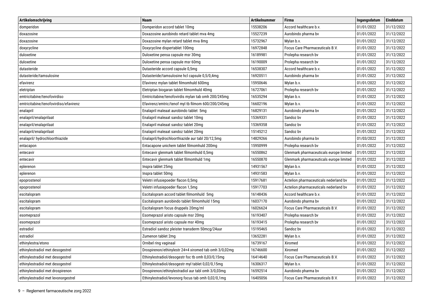| Artikelomschrijving                   | <b>Naam</b>                                           | <b>Artikelnummer</b> | <b>Firma</b>                            | Ingangsdatum | Einddatum  |
|---------------------------------------|-------------------------------------------------------|----------------------|-----------------------------------------|--------------|------------|
| domperidon                            | Domperidon accord tablet 10mg                         | 15538206             | Accord healthcare b.v.                  | 01/01/2022   | 31/12/2022 |
| doxazosine                            | Doxazosine aurobindo retard tablet mva 4mg            | 15527239             | Aurobindo pharma bv                     | 01/01/2022   | 31/12/2022 |
| doxazosine                            | Doxazosine mylan retard tablet mva 8mg                | 15732967             | Mylan b.v.                              | 01/01/2022   | 31/12/2022 |
| doxycycline                           | Doxycycline dispertablet 100mg                        | 16972848             | Focus Care Pharmaceuticals B.V.         | 01/01/2022   | 31/12/2022 |
| duloxetine                            | Duloxetine pensa capsule msr 30mg                     | 16189981             | Prolepha research bv                    | 01/01/2022   | 31/12/2022 |
| duloxetine                            | Duloxetine pensa capsule msr 60mg                     | 16190009             | Prolepha research bv                    | 01/01/2022   | 31/12/2022 |
| dutasteride                           | Dutasteride accord capsule 0,5mg                      | 16538307             | Accord healthcare b.v.                  | 01/01/2022   | 31/12/2022 |
| dutasteride/tamsulosine               | Dutasteride/tamsulosine hcl capsule 0,5/0,4mg         | 16920511             | Aurobindo pharma bv                     | 01/01/2022   | 31/12/2022 |
| efavirenz                             | Efavirenz mylan tablet filmomhuld 600mg               | 15950646             | Mylan b.v.                              | 01/01/2022   | 31/12/2022 |
| eletriptan                            | Eletriptan biogaran tablet filmomhuld 40mg            | 16727061             | Prolepha research bv                    | 01/01/2022   | 31/12/2022 |
| emtricitabine/tenofovirdiso           | Emtricitabine/tenofovirdis mylan tab omh 200/245mg    | 16535294             | Mylan b.v.                              | 01/01/2022   | 31/12/2022 |
| emtricitabine/tenofovirdiso/efavirenz | Efavirenz/emtric/tenof myl tb filmom 600/200/245mg    | 16602196             | Mylan b.v.                              | 01/01/2022   | 31/12/2022 |
| enalapril                             | Enalapril maleaat aurobindo tablet 5mg                | 16829131             | Aurobindo pharma bv                     | 01/01/2022   | 31/12/2022 |
| enalapril/enalaprilaat                | Enalapril maleaat sandoz tablet 10mg                  | 15369331             | Sandoz bv                               | 01/01/2022   | 31/12/2022 |
| enalapril/enalaprilaat                | Enalapril maleaat sandoz tablet 20mg                  | 15369358             | Sandoz bv                               | 01/01/2022   | 31/12/2022 |
| enalapril/enalaprilaat                | Enalapril maleaat sandoz tablet 20mg                  | 15145212             | Sandoz bv                               | 01/01/2022   | 31/12/2022 |
| enalapril/ hydrochloorthiazide        | Enalapril/hydrochloorthiazide aur tabl 20/12,5mg      | 14829266             | Aurobindo pharma bv                     | 01/03/2022   | 31/12/2022 |
| entacapon                             | Entacapone unichem tablet filmomhuld 200mg            | 15950999             | Prolepha research bv                    | 01/01/2022   | 31/12/2022 |
| entecavir                             | Entecavir glenmark tablet filmomhuld 0,5mg            | 16550862             | Glenmark pharmaceuticals europe limited | 01/01/2022   | 31/12/2022 |
| entecavir                             | Entecavir glenmark tablet filmomhuld 1mg              | 16550870             | Glenmark pharmaceuticals europe limited | 01/01/2022   | 31/12/2022 |
| eplerenon                             | Inspra tablet 25mg                                    | 14931567             | Mylan b.v.                              | 01/01/2022   | 31/12/2022 |
| eplerenon                             | Inspra tablet 50mg                                    | 14931583             | Mylan b.v.                              | 01/01/2022   | 31/12/2022 |
| epoprostenol                          | Veletri infusiepoeder flacon 0,5mg                    | 15917681             | Actelion pharmaceuticals nederland bv   | 01/01/2022   | 31/12/2022 |
| epoprostenol                          | Veletri infusiepoeder flacon 1,5mg                    | 15917703             | Actelion pharmaceuticals nederland by   | 01/01/2022   | 31/12/2022 |
| escitalopram                          | Escitalopram accord tablet filmomhuld 5mg             | 16148436             | Accord healthcare b.v.                  | 01/01/2022   | 31/12/2022 |
| escitalopram                          | Escitalopram aurobindo tablet filmomhuld 15mg         | 16037170             | Aurobindo pharma bv                     | 01/01/2022   | 31/12/2022 |
| escitalopram                          | Escitalopram focus druppels 20mg/ml                   | 16026624             | Focus Care Pharmaceuticals B.V.         | 01/01/2022   | 31/12/2022 |
| esomeprazol                           | Esomeprazol aristo capsule msr 20mg                   | 16193407             | Prolepha research bv                    | 01/01/2022   | 31/12/2022 |
| esomeprazol                           | Esomeprazol aristo capsule msr 40mq                   | 16193415             | Prolepha research bv                    | 01/01/2022   | 31/12/2022 |
| estradiol                             | Estradiol sandoz pleister transderm 50mcg/24uur       | 15195465             | Sandoz bv                               | 01/01/2022   | 31/12/2022 |
| estradiol                             | Zumenon tablet 2mg                                    | 13652281             | Mylan b.v.                              | 01/01/2022   | 31/12/2022 |
| ethinylestra/etono                    | Ornibel ring vaginaal                                 | 16739167             | Xiromed                                 | 01/01/2022   | 31/12/2022 |
| ethinylestradiol met desogestrel      | Drospirenon/ethinylestr 24+4 xiromed tab omh 3/0,02mg | 16746600             | Xiromed                                 | 01/01/2022   | 31/12/2022 |
| ethinylestradiol met desogestrel      | Ethinylestradiol/desogestr foc tb omh 0,03/0,15mg     | 16414640             | Focus Care Pharmaceuticals B.V.         | 01/01/2022   | 31/12/2022 |
| ethinylestradiol met desogestrel      | Ethinylestradiol/desogestr myl tablet 0,02/0,15mg     | 16306317             | Mylan b.v.                              | 01/01/2022   | 31/12/2022 |
| ethinylestradiol met drospirenon      | Drospirenon/ethinylestradiol aur tabl omh 3/0,03mg    | 16592514             | Aurobindo pharma bv                     | 01/01/2022   | 31/12/2022 |
| ethinylestradiol met levonorgestrel   | Ethinylestradiol/levonorg focus tab omh 0,02/0,1mg    | 16405056             | <b>Focus Care Pharmaceuticals B.V.</b>  | 01/01/2022   | 31/12/2022 |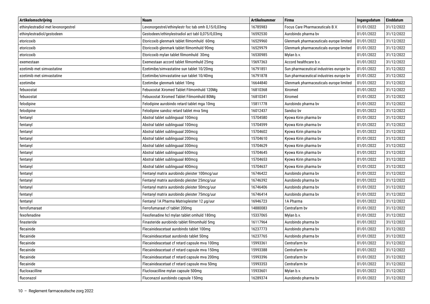| Artikelomschrijving                 | <b>Naam</b>                                        | <b>Artikelnummer</b> | <b>Firma</b>                            | Ingangsdatum | Einddatum  |
|-------------------------------------|----------------------------------------------------|----------------------|-----------------------------------------|--------------|------------|
| ethinylestradiol met levonorgestrel | Levonorgestrel/ethinylestr foc tab omh 0,15/0,03mg | 16785983             | Focus Care Pharmaceuticals B.V.         | 01/01/2022   | 31/12/2022 |
| ethinylestradiol/gestodeen          | Gestodeen/ethinylestradiol act tabl 0,075/0,03mg   | 16592530             | Aurobindo pharma bv                     | 01/01/2022   | 31/12/2022 |
| etoricoxib                          | Etoricoxib glenmark tablet filmomhuld 60mg         | 16529960             | Glenmark pharmaceuticals europe limited | 01/01/2022   | 31/12/2022 |
| etoricoxib                          | Etoricoxib glenmark tablet filmomhuld 90mg         | 16529979             | Glenmark pharmaceuticals europe limited | 01/01/2022   | 31/12/2022 |
| etoricoxib                          | Etoricoxib mylan tablet filmomhuld 30mg            | 16530985             | Mylan b.v.                              | 01/01/2022   | 31/12/2022 |
| exemestaan                          | Exemestaan accord tablet filmomhuld 25mg           | 15697363             | Accord healthcare b.v.                  | 01/01/2022   | 31/12/2022 |
| ezetimib met simvastatine           | Ezetimibe/simvastatine sun tablet 10/20mg          | 16791851             | Sun pharmaceutical industries europe by | 01/01/2022   | 31/12/2022 |
| ezetimib met simvastatine           | Ezetimibe/simvastatine sun tablet 10/40mg          | 16791878             | Sun pharmaceutical industries europe by | 01/01/2022   | 31/12/2022 |
| ezetimibe                           | Ezetimibe glenmark tablet 10mg                     | 16644840             | Glenmark pharmaceuticals europe limited | 01/01/2022   | 31/12/2022 |
| febuxostat                          | Febuxostat Xiromed Tablet Filmomhuld 120Mg         | 16810368             | Xiromed                                 | 01/01/2022   | 31/12/2022 |
| febuxostat                          | Febuxostat Xiromed Tablet Filmomhuld 80Mg          | 16810341             | Xiromed                                 | 01/01/2022   | 31/12/2022 |
| felodipine                          | Felodipine aurobindo retard tablet mga 10mg        | 15811778             | Aurobindo pharma by                     | 01/01/2022   | 31/12/2022 |
| felodipine                          | Felodipine sandoz retard tablet mva 5mg            | 16012437             | Sandoz bv                               | 01/01/2022   | 31/12/2022 |
| fentanyl                            | Abstral tablet sublinguaal 100mcg                  | 15704580             | Kyowa Kirin pharma bv                   | 01/01/2022   | 31/12/2022 |
| fentanyl                            | Abstral tablet sublinguaal 100mcg                  | 15704599             | Kyowa Kirin pharma bv                   | 01/01/2022   | 31/12/2022 |
| fentanyl                            | Abstral tablet sublinguaal 200mcg                  | 15704602             | Kyowa Kirin pharma bv                   | 01/01/2022   | 31/12/2022 |
| fentanyl                            | Abstral tablet sublinguaal 200mcg                  | 15704610             | Kyowa Kirin pharma bv                   | 01/01/2022   | 31/12/2022 |
| fentanyl                            | Abstral tablet sublinguaal 300mcg                  | 15704629             | Kyowa Kirin pharma bv                   | 01/01/2022   | 31/12/2022 |
| fentanyl                            | Abstral tablet sublinguaal 600mcg                  | 15704645             | Kyowa Kirin pharma bv                   | 01/01/2022   | 31/12/2022 |
| fentanyl                            | Abstral tablet sublinguaal 800mcg                  | 15704653             | Kyowa Kirin pharma bv                   | 01/01/2022   | 31/12/2022 |
| fentanyl                            | Abstral tablet sublinguaal 400mcg                  | 15704637             | Kyowa Kirin pharma bv                   | 01/01/2022   | 31/12/2022 |
| fentanyl                            | Fentanyl matrix aurobindo pleister 100mcg/uur      | 16746422             | Aurobindo pharma bv                     | 01/01/2022   | 31/12/2022 |
| fentanyl                            | Fentanyl matrix aurobindo pleister 25mcg/uur       | 16746392             | Aurobindo pharma bv                     | 01/01/2022   | 31/12/2022 |
| fentanyl                            | Fentanyl matrix aurobindo pleister 50mcg/uur       | 16746406             | Aurobindo pharma bv                     | 01/01/2022   | 31/12/2022 |
| fentanyl                            | Fentanyl matrix aurobindo pleister 75mcg/uur       | 16746414             | Aurobindo pharma bv                     | 01/01/2022   | 31/12/2022 |
| fentanyl                            | Fentanyl 1A Pharma Matrixpleister 12 µg/uur        | 16946723             | 1A Pharma                               | 01/01/2022   | 31/12/2022 |
| ferrofumaraat                       | Ferrofumaraat cf tablet 200mg                      | 14880083             | Centrafarm by                           | 01/01/2022   | 31/12/2022 |
| fexofenadine                        | Fexofenadine hcl mylan tablet omhuld 180mg         | 15337065             | Mylan b.v.                              | 01/01/2022   | 31/12/2022 |
| finasteride                         | Finasteride aurobindo tablet filmomhuld 5mg        | 16117964             | Aurobindo pharma by                     | 01/01/2022   | 31/12/2022 |
| flecainide                          | Flecainideacetaat aurobindo tablet 100mg           | 16237773             | Aurobindo pharma bv                     | 01/01/2022   | 31/12/2022 |
| flecainide                          | Flecainideacetaat aurobindo tablet 50mg            | 16237765             | Aurobindo pharma bv                     | 01/01/2022   | 31/12/2022 |
| flecainide                          | Flecainideacetaat cf retard capsule mva 100mg      | 15993361             | Centrafarm by                           | 01/01/2022   | 31/12/2022 |
| flecainide                          | Flecainideacetaat cf retard capsule mva 150mg      | 15993388             | Centrafarm by                           | 01/01/2022   | 31/12/2022 |
| flecainide                          | Flecainideacetaat cf retard capsule mva 200mg      | 15993396             | Centrafarm by                           | 01/01/2022   | 31/12/2022 |
| flecainide                          | Flecainideacetaat cf retard capsule mva 50mg       | 15993353             | Centrafarm bv                           | 01/01/2022   | 31/12/2022 |
| flucloxacilline                     | Flucloxacilline mylan capsule 500mg                | 15933601             | Mylan b.v.                              | 01/01/2022   | 31/12/2022 |
| fluconazol                          | Fluconazol aurobindo capsule 150mg                 | 16289374             | Aurobindo pharma bv                     | 01/01/2022   | 31/12/2022 |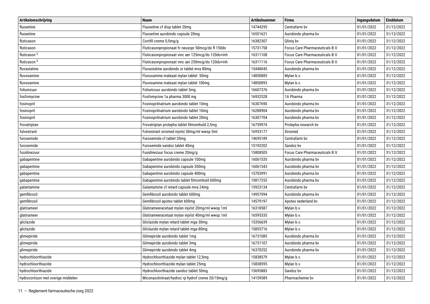| Artikelomschrijving                | <b>Naam</b>                                       | <b>Artikelnummer</b> | <b>Firma</b>                    | Ingangsdatum | <b>Einddatum</b> |
|------------------------------------|---------------------------------------------------|----------------------|---------------------------------|--------------|------------------|
| fluoxetine                         | Fluoxetine cf disp tablet 20mg                    | 14744295             | Centrafarm by                   | 01/01/2022   | 31/12/2022       |
| fluoxetine                         | Fluoxetine aurobindo capsule 20mg                 | 16551621             | Aurobindo pharma by             | 01/01/2022   | 31/12/2022       |
| fluticason                         | Cortifil creme 0,5mg/g                            | 16382307             | Qlinig by                       | 01/01/2022   | 31/12/2022       |
| fluticason                         | Fluticasonpropionaat fc neusspr 50mcg/do fl 150do | 15731758             | Focus Care Pharmaceuticals B.V. | 01/01/2022   | 31/12/2022       |
| fluticason <sup>5</sup>            | Fluticasonpropionaat vinc aer 125mcg/do 120do+inh | 16311108             | Focus Care Pharmaceuticals B.V. | 01/01/2022   | 31/12/2022       |
| fluticason <sup>5</sup>            | Fluticasonpropionaat vinc aer 250mcg/do 120do+inh | 16311116             | Focus Care Pharmaceuticals B.V. | 01/01/2022   | 31/12/2022       |
| fluvastatine                       | Fluvastatine aurobindo sr tablet mva 80mg         | 15448045             | Aurobindo pharma bv             | 01/01/2022   | 31/12/2022       |
| fluvoxamine                        | Fluvoxamine maleaat mylan tablet 50mg             | 14850885             | Mylan b.v.                      | 01/01/2022   | 31/12/2022       |
| fluvoxamine                        | Fluvoxamine maleaat mylan tablet 100mg            | 14850893             | Mylan b.v.                      | 01/01/2022   | 31/12/2022       |
| foliumzuur                         | Foliumzuur aurobindo tablet 5mg                   | 16607376             | Aurobindo pharma bv             | 01/01/2022   | 31/12/2022       |
| fosfomycine                        | Fosfomycine 1a pharma 3000 mg                     | 16932528             | 1A Pharma                       | 01/01/2022   | 31/12/2022       |
| fosinopril                         | Fosinoprilnatrium aurobindo tablet 10mg           | 16307690             | Aurobindo pharma by             | 01/01/2022   | 31/12/2022       |
| fosinopril                         | Fosinoprilnatrium aurobindo tablet 10mg           | 16288904             | Aurobindo pharma bv             | 01/01/2022   | 31/12/2022       |
| fosinopril                         | Fosinoprilnatrium aurobindo tablet 20mg           | 16307704             | Aurobindo pharma bv             | 01/01/2022   | 31/12/2022       |
| frovatriptan                       | Frovatriptan prolepha tablet filmomhuld 2,5mg     | 16759974             | Prolepha research by            | 01/01/2022   | 31/12/2022       |
| fulvestrant                        | Fulvestrant xiromed injvlst 50mg/ml wwsp 5ml      | 16953177             | Xiromed                         | 01/01/2022   | 31/12/2022       |
| furosemide                         | Furosemide cf tablet 20mg                         | 14695189             | Centrafarm bv                   | 01/01/2022   | 31/12/2022       |
| furosemide                         | Furosemide sandoz tablet 40mg                     | 15192202             | Sandoz by                       | 01/01/2022   | 31/12/2022       |
| fusidinezuur                       | Fusidinezuur focus creme 20mg/g                   | 15808505             | Focus Care Pharmaceuticals B.V. | 01/01/2022   | 31/12/2022       |
| gabapentine                        | Gabapentine aurobindo capsule 100mg               | 16061535             | Aurobindo pharma bv             | 01/01/2022   | 31/12/2022       |
| gabapentine                        | Gabapentine aurobindo capsule 300mg               | 16061543             | Aurobindo pharma bv             | 01/01/2022   | 31/12/2022       |
| gabapentine                        | Gabapentine aurobindo capsule 400mg               | 15703991             | Aurobindo pharma bv             | 01/01/2022   | 31/12/2022       |
| gabapentine                        | Gabapentine aurobindo tablet filmomhuld 600mg     | 15817253             | Aurobindo pharma bv             | 01/01/2022   | 31/12/2022       |
| galantamine                        | Galantamine cf retard capsule mva 24mg            | 15923134             | Centrafarm bv                   | 01/01/2022   | 31/12/2022       |
| gemfibrozil                        | Gemfibrozil aurobindo tablet 600mg                | 14957094             | Aurobindo pharma bv             | 01/01/2022   | 31/12/2022       |
| gemfibrozil                        | Gemfibrozil apotex tablet 600mg                   | 14579197             | Apotex nederland bv             | 01/01/2022   | 31/12/2022       |
| glatirameer                        | Glatirameeracetaat mylan injvlst 20mg/ml wwsp 1ml | 16318587             | Mylan b.v.                      | 01/01/2022   | 31/12/2022       |
| glatirameer                        | Glatirameeracetaat mylan injvlst 40mg/ml wwsp 1ml | 16595335             | Mylan b.v.                      | 01/01/2022   | 31/12/2022       |
| gliclazide                         | Gliclazide mylan retard tablet mga 30mg           | 15356639             | Mylan b.v.                      | 01/01/2022   | 31/12/2022       |
| gliclazide                         | Gliclazide mylan retard tablet mga 80mg           | 15855716             | Mylan b.v.                      | 01/01/2022   | 31/12/2022       |
| glimepiride                        | Glimepiride aurobindo tablet 1mg                  | 16731085             | Aurobindo pharma by             | 01/01/2022   | 31/12/2022       |
| glimepiride                        | Glimepiride aurobindo tablet 3mg                  | 16731107             | Aurobindo pharma by             | 01/01/2022   | 31/12/2022       |
| glimepiride                        | Glimepiride aurobindo tablet 4mg                  | 16370252             | Aurobindo pharma bv             | 01/01/2022   | 31/12/2022       |
| hydrochloorthiazide                | Hydrochloorthiazide mylan tablet 12,5mg           | 15838579             | Mylan b.v.                      | 01/01/2022   | 31/12/2022       |
| hydrochloorthiazide                | Hydrochloorthiazide mylan tablet 25mg             | 15838595             | Mylan b.v.                      | 01/01/2022   | 31/12/2022       |
| hydrochloorthiazide                | Hydrochloorthiazide sandoz tablet 50mg            | 15695883             | Sandoz bv                       | 01/01/2022   | 31/12/2022       |
| hydrocortison met overige middelen | Miconazolnitraat/hydroc rp hydrof creme 20/10mg/g | 14159589             | Pharmachemie bv                 | 01/01/2022   | 31/12/2022       |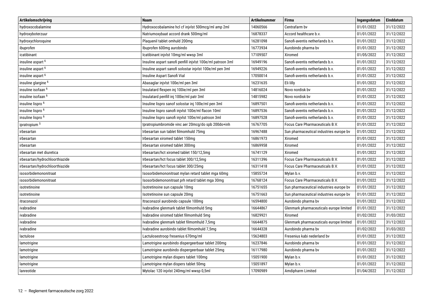| Artikelomschrijving            | <b>Naam</b>                                                | <b>Artikelnummer</b> | <b>Firma</b>                            | Ingangsdatum | <b>Einddatum</b> |
|--------------------------------|------------------------------------------------------------|----------------------|-----------------------------------------|--------------|------------------|
| hydroxocobalamine              | Hydroxocobalamine hcl cf injvlst 500mcg/ml amp 2ml         | 14060566             | Centrafarm bv                           | 01/01/2022   | 31/12/2022       |
| hydroxyboterzuur               | Natriumoxybaat accord drank 500mg/ml                       | 16878337             | Accord healthcare b.v.                  | 01/01/2022   | 31/12/2022       |
| hydroxychloroquine             | Plaquenil tablet omhuld 200mg                              | 16281098             | Sanofi-aventis netherlands b.v.         | 01/01/2022   | 31/12/2022       |
| ibuprofen                      | Ibuprofen 600mg aurobindo                                  | 16773934             | Aurobindo pharma bv                     | 01/01/2022   | 31/12/2022       |
| icatibinant                    | Icatibinant injvlst 10mg/ml wwsp 3ml                       | 17109507             | Xiromed                                 | 01/05/2022   | 31/12/2022       |
| insuline aspart <sup>6</sup>   | Insuline aspart sanofi penfill injvlst 100e/ml patroon 3ml | 16949196             | Sanofi-aventis netherlands b.v.         | 01/01/2022   | 31/12/2022       |
| insuline aspart <sup>6</sup>   | Insuline aspart sanofi solostar injvlst 100e/ml pen 3ml    | 16949226             | Sanofi-aventis netherlands b.v.         | 01/01/2022   | 31/12/2022       |
| insuline aspart <sup>6</sup>   | Insuline Aspart Sanofi Vial                                | 17050014             | Sanofi-aventis netherlands b.v.         | 01/01/2022   | 31/12/2022       |
| insuline glargine <sup>6</sup> | Abasaglar injvlst 100e/ml pen 3ml                          | 16231635             | Eli lilly                               | 01/01/2022   | 31/12/2022       |
| insuline isofaan 6             | Insulatard flexpen inj 100ie/ml pen 3ml                    | 14816024             | Novo nordisk bv                         | 01/01/2022   | 31/12/2022       |
| insuline isofaan <sup>6</sup>  | Insulatard penfill inj 100ie/ml patr 3ml                   | 14815982             | Novo nordisk by                         | 01/01/2022   | 31/12/2022       |
| insuline lispro <sup>6</sup>   | Insuline lispro sanof solostar inj 100e/ml pen 3ml         | 16897501             | Sanofi-aventis netherlands b.v.         | 01/01/2022   | 31/12/2022       |
| insuline lispro <sup>6</sup>   | Insuline lispro sanofi injvlst 100e/ml flacon 10ml         | 16897536             | Sanofi-aventis netherlands b.v.         | 01/01/2022   | 31/12/2022       |
| insuline lispro <sup>6</sup>   | Insuline lispro sanofi injvlst 100e/ml patroon 3ml         | 16897528             | Sanofi-aventis netherlands b.v.         | 01/01/2022   | 31/12/2022       |
| ipratropium <sup>5</sup>       | Ipratropiumbromide vinc aer 20mcg/do spb 200do+inh         | 16767705             | Focus Care Pharmaceuticals B.V.         | 01/01/2022   | 31/12/2022       |
| irbesartan                     | Irbesartan sun tablet filmomhuld 75mg                      | 16967488             | Sun pharmaceutical industries europe by | 01/01/2022   | 31/12/2022       |
| irbesartan                     | Irbesartan xiromed tablet 150mg                            | 16861973             | Xiromed                                 | 01/01/2022   | 31/12/2022       |
| irbesartan                     | Irbesartan xiromed tablet 300mg                            | 16869958             | Xiromed                                 | 01/01/2022   | 31/12/2022       |
| irbesartan met diuretica       | Irbesartan/hct xiromed tablet 150/12,5mg                   | 16741129             | Xiromed                                 | 01/01/2022   | 31/12/2022       |
| irbesartan/hydrochloorthiazide | Irbesartan/hct focus tablet 300/12,5mg                     | 16311396             | Focus Care Pharmaceuticals B.V.         | 01/01/2022   | 31/12/2022       |
| irbesartan/hydrochloorthiazide | Irbesartan/hct focus tablet 300/25mg                       | 16311418             | Focus Care Pharmaceuticals B.V.         | 01/01/2022   | 31/12/2022       |
| isosorbidemononitraat          | Isosorbidemononitraat mylan retard tablet mga 60mg         | 15855724             | Mylan b.v.                              | 01/01/2022   | 31/12/2022       |
| isosorbidemononitraat          | Isosorbidemononitraat prh retard tablet mga 30mg           | 16768124             | Focus Care Pharmaceuticals B.V.         | 01/01/2022   | 31/12/2022       |
| isotretinoine                  | Isotretinoine sun capsule 10mg                             | 16751655             | Sun pharmaceutical industries europe by | 01/01/2022   | 31/12/2022       |
| isotretinoine                  | Isotretinoine sun capsule 20mg                             | 16751663             | Sun pharmaceutical industries europe bv | 01/01/2022   | 31/12/2022       |
| itraconazol                    | Itraconazol aurobindo capsule 100mg                        | 16594800             | Aurobindo pharma bv                     | 01/01/2022   | 31/12/2022       |
| ivabradine                     | Ivabradine glenmark tablet filmomhuld 5mg                  | 16644867             | Glenmark pharmaceuticals europe limited | 01/01/2022   | 31/12/2022       |
| ivabradine                     | Ivabradine xiromed tablet filmomhuld 5mg                   | 16829921             | Xiromed                                 | 01/02/2022   | 31/03/2022       |
| ivabradine                     | Ivabradine glenmark tablet filmomhuld 7,5mg                | 16644875             | Glenmark pharmaceuticals europe limited | 01/01/2022   | 31/12/2022       |
| ivabradine                     | Ivabradine aurobindo tablet filmomhuld 7,5mg               | 16644328             | Aurobindo pharma bv                     | 01/02/2022   | 31/03/2022       |
| lactulose                      | Lactulosestroop fresenius 670mg/ml                         | 15624803             | Fresenius kabi nederland by             | 01/01/2022   | 31/12/2022       |
| lamotrigine                    | Lamotrigine aurobindo dispergeerbaar tablet 200mg          | 16237846             | Aurobindo pharma bv                     | 01/01/2022   | 31/12/2022       |
| lamotrigine                    | Lamotrigine aurobindo dispergeerbaar tablet 25mg           | 16117980             | Aurobindo pharma bv                     | 01/01/2022   | 31/12/2022       |
| lamotrigine                    | Lamotrigine mylan dispers tablet 100mg                     | 15051900             | Mylan b.v.                              | 01/01/2022   | 31/12/2022       |
| lamotrigine                    | Lamotrigine mylan dispers tablet 50mg                      | 15051897             | Mylan b.v.                              | 01/01/2022   | 31/12/2022       |
| lanreotide                     | Mytolac 120 injvlst 240mg/ml wwsp 0,5ml                    | 17090989             | Amdipharm Limited                       | 01/04/2022   | 31/12/2022       |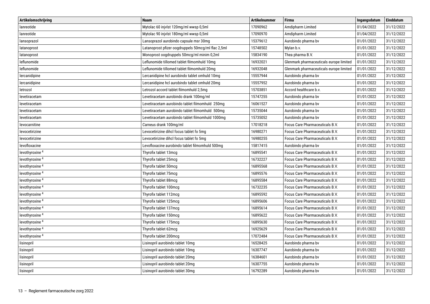| Artikelomschrijving        | <b>Naam</b>                                        | <b>Artikelnummer</b> | <b>Firma</b>                            | Ingangsdatum | <b>Einddatum</b> |
|----------------------------|----------------------------------------------------|----------------------|-----------------------------------------|--------------|------------------|
| lanreotide                 | Mytolac 60 injvlst 120mg/ml wwsp 0,5ml             | 17090962             | Amdipharm Limited                       | 01/04/2022   | 31/12/2022       |
| lanreotide                 | Mytolac 90 injvlst 180mg/ml wwsp 0,5ml             | 17090970             | Amdipharm Limited                       | 01/04/2022   | 31/12/2022       |
| lansoprazol                | Lansoprazol aurobindo capsule msr 30mg             | 15379612             | Aurobindo pharma bv                     | 01/01/2022   | 31/12/2022       |
| latanoprost                | Latanoprost pfizer oogdruppels 50mcg/ml flac 2,5ml | 15748502             | Mylan b.v.                              | 01/01/2022   | 31/12/2022       |
| latanoprost                | Monoprost oogdruppels 50mcg/ml minim 0,2ml         | 15834190             | Thea pharma B.V.                        | 01/01/2022   | 31/12/2022       |
| leflunomide                | Leflunomide tillomed tablet filmomhuld 10mg        | 16932021             | Glenmark pharmaceuticals europe limited | 01/01/2022   | 31/12/2022       |
| leflunomide                | Leflunomide tillomed tablet filmomhuld 20mg        | 16932048             | Glenmark pharmaceuticals europe limited | 01/01/2022   | 31/12/2022       |
| lercanidipine              | Lercanidipine hcl aurobindo tablet omhuld 10mg     | 15557944             | Aurobindo pharma bv                     | 01/01/2022   | 31/12/2022       |
| lercanidipine              | Lercanidipine hcl aurobindo tablet omhuld 20mg     | 15557952             | Aurobindo pharma bv                     | 01/01/2022   | 31/12/2022       |
| letrozol                   | Letrozol accord tablet filmomhuld 2,5mg            | 15703851             | Accord healthcare b.v.                  | 01/01/2022   | 31/12/2022       |
| levetiracetam              | Levetiracetam aurobindo drank 100mg/ml             | 15747255             | Aurobindo pharma bv                     | 01/01/2022   | 31/12/2022       |
| levetiracetam              | Levetiracetam aurobindo tablet filmomhuld 250mg    | 16061527             | Aurobindo pharma bv                     | 01/01/2022   | 31/12/2022       |
| levetiracetam              | Levetiracetam aurobindo tablet filmomhuld 500mg    | 15735044             | Aurobindo pharma bv                     | 01/01/2022   | 31/12/2022       |
| levetiracetam              | Levetiracetam aurobindo tablet filmomhuld 1000mg   | 15735052             | Aurobindo pharma by                     | 01/01/2022   | 31/12/2022       |
| levocarnitine              | Carneus drank 100mg/ml                             | 17018218             | Focus Care Pharmaceuticals B.V.         | 01/01/2022   | 31/12/2022       |
| levocetirizine             | Levocetirizine dihcl focus tablet fo 5mg           | 16980271             | Focus Care Pharmaceuticals B.V.         | 01/01/2022   | 31/12/2022       |
| levocetirizine             | Levocetirizine dihcl focus tablet fo 5mg           | 16980255             | Focus Care Pharmaceuticals B.V.         | 01/01/2022   | 31/12/2022       |
| levofloxacine              | Levofloxacine aurobindo tablet filmomhuld 500mg    | 15817415             | Aurobindo pharma bv                     | 01/01/2022   | 31/12/2022       |
| levothyroxine <sup>4</sup> | Thyrofix tablet 13mcq                              | 16895541             | Focus Care Pharmaceuticals B.V.         | 01/01/2022   | 31/12/2022       |
| levothyroxine <sup>4</sup> | Thyrofix tablet 25mcg                              | 16732227             | Focus Care Pharmaceuticals B.V.         | 01/01/2022   | 31/12/2022       |
| levothyroxine <sup>4</sup> | Thyrofix tablet 50mcg                              | 16895568             | Focus Care Pharmaceuticals B.V.         | 01/01/2022   | 31/12/2022       |
| levothyroxine <sup>4</sup> | Thyrofix tablet 75mcg                              | 16895576             | Focus Care Pharmaceuticals B.V.         | 01/01/2022   | 31/12/2022       |
| levothyroxine <sup>4</sup> | Thyrofix tablet 88mcg                              | 16895584             | Focus Care Pharmaceuticals B.V.         | 01/01/2022   | 31/12/2022       |
| levothyroxine <sup>4</sup> | Thyrofix tablet 100mcg                             | 16732235             | Focus Care Pharmaceuticals B.V.         | 01/01/2022   | 31/12/2022       |
| levothyroxine <sup>4</sup> | Thyrofix tablet 112mcg                             | 16895592             | Focus Care Pharmaceuticals B.V.         | 01/01/2022   | 31/12/2022       |
| levothyroxine <sup>4</sup> | Thyrofix tablet 125mcg                             | 16895606             | Focus Care Pharmaceuticals B.V.         | 01/01/2022   | 31/12/2022       |
| levothyroxine <sup>4</sup> | Thyrofix tablet 137mcg                             | 16895614             | Focus Care Pharmaceuticals B.V.         | 01/01/2022   | 31/12/2022       |
| levothyroxine <sup>4</sup> | Thyrofix tablet 150mcg                             | 16895622             | Focus Care Pharmaceuticals B.V.         | 01/01/2022   | 31/12/2022       |
| levothyroxine <sup>4</sup> | Thyrofix tablet 175mcg                             | 16895630             | Focus Care Pharmaceuticals B.V.         | 01/01/2022   | 31/12/2022       |
| levothyroxine <sup>4</sup> | Thyrofix tablet 62mcg                              | 16925629             | Focus Care Pharmaceuticals B.V.         | 01/01/2022   | 31/12/2022       |
| levothyroxine <sup>4</sup> | Thyrofix tablet 200mcg                             | 17072484             | Focus Care Pharmaceuticals B.V.         | 01/01/2022   | 31/12/2022       |
| lisinopril                 | Lisinopril aurobindo tablet 10mg                   | 16528425             | Aurobindo pharma bv                     | 01/01/2022   | 31/12/2022       |
| lisinopril                 | Lisinopril aurobindo tablet 10mg                   | 16307747             | Aurobindo pharma bv                     | 01/01/2022   | 31/12/2022       |
| lisinopril                 | Lisinopril aurobindo tablet 20mg                   | 16384601             | Aurobindo pharma bv                     | 01/01/2022   | 31/12/2022       |
| lisinopril                 | Lisinopril aurobindo tablet 20mg                   | 16307755             | Aurobindo pharma bv                     | 01/01/2022   | 31/12/2022       |
| lisinopril                 | Lisinopril aurobindo tablet 30mg                   | 16792289             | Aurobindo pharma bv                     | 01/01/2022   | 31/12/2022       |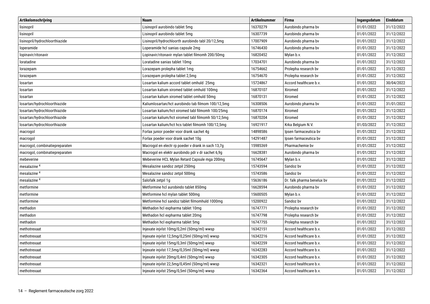| Artikelomschrijving            | <b>Naam</b>                                        | <b>Artikelnummer</b> | <b>Firma</b>               | Ingangsdatum | Einddatum  |
|--------------------------------|----------------------------------------------------|----------------------|----------------------------|--------------|------------|
| lisinopril                     | Lisinopril aurobindo tablet 5mg                    | 16370279             | Aurobindo pharma bv        | 01/01/2022   | 31/12/2022 |
| lisinopril                     | Lisinopril aurobindo tablet 5mg                    | 16307739             | Aurobindo pharma bv        | 01/01/2022   | 31/12/2022 |
| lisinopril/hydrochloorthiazide | Lisinopril/hydrochloorth aurobindo tabl 20/12,5mg  | 17007909             | Aurobindo pharma bv        | 01/01/2022   | 31/12/2022 |
| loperamide                     | Loperamide hcl sanias capsule 2mg                  | 16746430             | Aurobindo pharma bv        | 01/01/2022   | 31/12/2022 |
| lopinavir/ritonavir            | Lopinavir/ritonavir mylan tablet filmomh 200/50mg  | 16820452             | Mylan b.v.                 | 01/01/2022   | 31/12/2022 |
| loratadine                     | Loratadine sanias tablet 10mg                      | 17034701             | Aurobindo pharma bv        | 01/01/2022   | 31/12/2022 |
| lorazepam                      | Lorazepam prolepha tablet 1mg                      | 16754662             | Prolepha research bv       | 01/01/2022   | 31/12/2022 |
| lorazepam                      | Lorazepam prolepha tablet 2,5mg                    | 16754670             | Prolepha research bv       | 01/01/2022   | 31/12/2022 |
| losartan                       | Losartan kalium accord tablet omhuld 25mg          | 15724867             | Accord healthcare b.v.     | 01/01/2022   | 30/04/2022 |
| losartan                       | Losartan kalium xiromed tablet omhuld 100mg        | 16870107             | Xiromed                    | 01/01/2022   | 31/12/2022 |
| losartan                       | Losartan kalium xiromed tablet omhuld 50mg         | 16870131             | Xiromed                    | 01/01/2022   | 31/12/2022 |
| losartan/hydrochloorthiazide   | Kaliumlosartan/hct aurobindo tab filmom 100/12,5mg | 16308506             | Aurobindo pharma bv        | 01/01/2022   | 31/01/2022 |
| losartan/hydrochloorthiazide   | Losartan kalium/hct xiromed tabl filmomh 100/25mg  | 16870174             | Xiromed                    | 01/01/2022   | 31/12/2022 |
| losartan/hydrochloorthiazide   | Losartan kalium/hct xiromed tabl filmomh 50/12,5mg | 16870204             | Xiromed                    | 01/01/2022   | 31/12/2022 |
| losartan/hydrochloorthiazide   | Losartan kalium/hct hcs tablet filmomh 100/12,5mg  | 16921917             | Krka Belgium N.V.          | 01/03/2022   | 31/12/2022 |
| macrogol                       | Forlax junior poeder voor drank sachet 4g          | 14898586             | Ipsen farmaceutica bv      | 01/01/2022   | 31/12/2022 |
| macrogol                       | Forlax poeder voor drank sachet 10g                | 14291487             | Ipsen farmaceutica bv      | 01/01/2022   | 31/12/2022 |
| macrogol, combinatiepreparaten | Macrogol en electr rp poeder v drank in sach 13,7g | 15985369             | Pharmachemie bv            | 01/01/2022   | 31/12/2022 |
| macrogol, combinatiepreparaten | Macrogol en elektr aurobindo pdr v dr sachet 6,9q  | 16628381             | Aurobindo pharma bv        | 01/01/2022   | 31/12/2022 |
| mebeverine                     | Mebeverine HCL Mylan Retard Capsule mga 200mg      | 16745647             | Mylan b.v.                 | 01/01/2022   | 31/12/2022 |
| mesalazine <sup>4</sup>        | Mesalazine sandoz zetpil 250mg                     | 15743594             | Sandoz bv                  | 01/01/2022   | 31/12/2022 |
| mesalazine <sup>4</sup>        | Mesalazine sandoz zetpil 500mg                     | 15743586             | Sandoz bv                  | 01/01/2022   | 31/12/2022 |
| mesalazine <sup>4</sup>        | Salofalk zetpil 1q                                 | 15636186             | Dr. falk pharma benelux bv | 01/01/2022   | 31/12/2022 |
| metformine                     | Metformine hcl aurobindo tablet 850mg              | 16628594             | Aurobindo pharma bv        | 01/01/2022   | 31/12/2022 |
| metformine                     | Metformine hcl mylan tablet 500mg                  | 15600505             | Mylan b.v.                 | 01/01/2022   | 31/12/2022 |
| metformine                     | Metformine hcl sandoz tablet filmomhuld 1000mg     | 15200922             | Sandoz bv                  | 01/01/2022   | 31/12/2022 |
| methadon                       | Methadon hcl expharma tablet 10mg                  | 16747771             | Prolepha research bv       | 01/01/2022   | 31/12/2022 |
| methadon                       | Methadon hcl expharma tablet 20mg                  | 16747798             | Prolepha research bv       | 01/01/2022   | 31/12/2022 |
| methadon                       | Methadon hcl expharma tablet 5mg                   | 16747755             | Prolepha research bv       | 01/01/2022   | 31/12/2022 |
| methotrexaat                   | Injexate injvlst 10mg/0,2ml (50mg/ml) wwsp         | 16342151             | Accord healthcare b.v.     | 01/01/2022   | 31/12/2022 |
| methotrexaat                   | Injexate injvlst 12,5mg/0,25ml (50mg/ml) wwsp      | 16342216             | Accord healthcare b.v.     | 01/01/2022   | 31/12/2022 |
| methotrexaat                   | Injexate injvlst 15mg/0,3ml (50mg/ml) wwsp         | 16342259             | Accord healthcare b.v.     | 01/01/2022   | 31/12/2022 |
| methotrexaat                   | Injexate injvlst 17,5mg/0,35ml (50mg/ml) wwsp      | 16342283             | Accord healthcare b.v.     | 01/01/2022   | 31/12/2022 |
| methotrexaat                   | Injexate injvlst 20mg/0,4ml (50mg/ml) wwsp         | 16342305             | Accord healthcare b.v.     | 01/01/2022   | 31/12/2022 |
| methotrexaat                   | Injexate injvlst 22,5mg/0,45ml (50mg/ml) wwsp      | 16342321             | Accord healthcare b.v.     | 01/01/2022   | 31/12/2022 |
| methotrexaat                   | Injexate injvlst 25mg/0,5ml (50mg/ml) wwsp         | 16342364             | Accord healthcare b.v.     | 01/01/2022   | 31/12/2022 |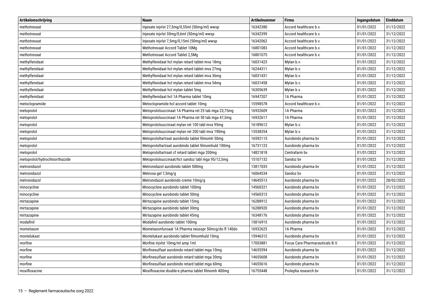| Artikelomschrijving            | <b>Naam</b>                                          | <b>Artikelnummer</b> | <b>Firma</b>                    | Ingangsdatum | Einddatum  |
|--------------------------------|------------------------------------------------------|----------------------|---------------------------------|--------------|------------|
| methotrexaat                   | Injexate injvlst 27,5mg/0,55ml (50mg/ml) wwsp        | 16342380             | Accord healthcare b.v.          | 01/01/2022   | 31/12/2022 |
| methotrexaat                   | Injexate injvlst 30mg/0,6ml (50mg/ml) wwsp           | 16342399             | Accord healthcare b.v.          | 01/01/2022   | 31/12/2022 |
| methotrexaat                   | Injexate injvlst 7,5mg/0,15ml (50mg/ml) wwsp         | 16342062             | Accord healthcare b.v.          | 01/01/2022   | 31/12/2022 |
| methotrexaat                   | Methotrexaat Accord Tablet 10Mg                      | 16801083             | Accord healthcare b.v.          | 01/01/2022   | 31/12/2022 |
| methotrexaat                   | Methotrexaat Accord Tablet 2,5Mg                     | 16801075             | Accord healthcare b.v.          | 01/01/2022   | 31/12/2022 |
| methylfenidaat                 | Methylfenidaat hol mylan retard tablet mva 18mg      | 16031423             | Mylan b.v.                      | 01/01/2022   | 31/12/2022 |
| methylfenidaat                 | Methylfenidaat hcl mylan retard tablet mva 27mg      | 16244311             | Mylan b.v.                      | 01/01/2022   | 31/12/2022 |
| methylfenidaat                 | Methylfenidaat hcl mylan retard tablet mva 36mg      | 16031431             | Mylan b.v.                      | 01/01/2022   | 31/12/2022 |
| methylfenidaat                 | Methylfenidaat hcl mylan retard tablet mva 54mg      | 16031458             | Mylan b.v.                      | 01/01/2022   | 31/12/2022 |
| methylfenidaat                 | Methylfenidaat hcl mylan tablet 5mg                  | 16305639             | Mylan b.v.                      | 01/01/2022   | 31/12/2022 |
| methylfenidaat                 | Methylfenidaat hcl 1A Pharma tablet 10mg             | 16947207             | 1A Pharma                       | 01/01/2022   | 31/12/2022 |
| metoclopramide                 | Metoclopramide hcl accord tablet 10mg                | 15598578             | Accord healthcare b.v.          | 01/01/2022   | 31/12/2022 |
| metoprolol                     | Metoprololsuccinaat 1A Pharma ret 25 tab mga 23,75mg | 16932609             | 1A Pharma                       | 01/01/2022   | 31/12/2022 |
| metoprolol                     | Metoprololsuccinaat 1A Pharma ret 50 tab mga 47,5mg  | 16932617             | 1A Pharma                       | 01/01/2022   | 31/12/2022 |
| metoprolol                     | Metoprololsuccinaat mylan ret 100 tabl mva 95mg      | 16189612             | Mylan b.v.                      | 01/01/2022   | 31/12/2022 |
| metoprolol                     | Metoprololsuccinaat mylan ret 200 tabl mva 190mg     | 15538354             | Mylan b.v.                      | 01/01/2022   | 31/12/2022 |
| metoprolol                     | Metoprololtartraat aurobindo tablet filmomh 50mg     | 16592115             | Aurobindo pharma bv             | 01/01/2022   | 31/12/2022 |
| metoprolol                     | Metoprololtartraat aurobindo tablet filmomhuld 100mg | 16731123             | Aurobindo pharma bv             | 01/01/2022   | 31/12/2022 |
| metoprolol                     | Metoprololtartraat cf retard tablet mga 200mg        | 14821818             | Centrafarm bv                   | 01/01/2022   | 31/12/2022 |
| metoprolol/hydrochloorthiazide | Metoprololsuccinaat/hct sandoz tabl mga 95/12,5mg    | 15107132             | Sandoz bv                       | 01/01/2022   | 31/12/2022 |
| metronidazol                   | Metronidazol aurobindo tablet 500mg                  | 13817035             | Aurobindo pharma bv             | 01/01/2022   | 31/12/2022 |
| metronidazol                   | Metrosa gel 7,5mg/g                                  | 16064534             | Sandoz bv                       | 01/01/2022   | 31/12/2022 |
| metronidazol                   | Metronidazol aurobindo creme 10mg/g                  | 14645513             | Aurobindo pharma bv             | 01/01/2022   | 28/02/2022 |
| minocycline                    | Minocycline aurobindo tablet 100mg                   | 14560321             | Aurobindo pharma bv             | 01/01/2022   | 31/12/2022 |
| minocycline                    | Minocycline aurobindo tablet 50mg                    | 14560313             | Aurobindo pharma bv             | 01/01/2022   | 31/12/2022 |
| mirtazapine                    | Mirtazapine aurobindo tablet 15mg                    | 16288912             | Aurobindo pharma bv             | 01/01/2022   | 31/12/2022 |
| mirtazapine                    | Mirtazapine aurobindo tablet 30mg                    | 16288920             | Aurobindo pharma bv             | 01/01/2022   | 31/12/2022 |
| mirtazapine                    | Mirtazapine aurobindo tablet 45mg                    | 16348176             | Aurobindo pharma bv             | 01/01/2022   | 31/12/2022 |
| modafinil                      | Modafinil aurobindo tablet 100mg                     | 15816915             | Aurobindo pharma bv             | 01/01/2022   | 31/12/2022 |
| mometason                      | Mometasonfuroaat 1A Pharma neusspr 50mcg/do fl 140do | 16932625             | 1A Pharma                       | 01/01/2022   | 31/12/2022 |
| montelukast                    | Montelukast aurobindo tablet filmomhuld 10mg         | 15946312             | Aurobindo pharma bv             | 01/01/2022   | 31/12/2022 |
| morfine                        | Morfine injvlst 10mg/ml amp 1ml                      | 17003881             | Focus Care Pharmaceuticals B.V. | 01/01/2022   | 31/12/2022 |
| morfine                        | Morfinesulfaat aurobindo retard tablet mga 10mg      | 14655594             | Aurobindo pharma bv             | 01/01/2022   | 31/12/2022 |
| morfine                        | Morfinesulfaat aurobindo retard tablet mga 30mg      | 14655608             | Aurobindo pharma bv             | 01/01/2022   | 31/12/2022 |
| morfine                        | Morfinesulfaat aurobindo retard tablet mga 60mg      | 14655616             | Aurobindo pharma bv             | 01/01/2022   | 31/12/2022 |
| moxifloxacine                  | Moxifloxacine double-e pharma tablet filmomh 400mg   | 16755448             | Prolepha research bv            | 01/01/2022   | 31/12/2022 |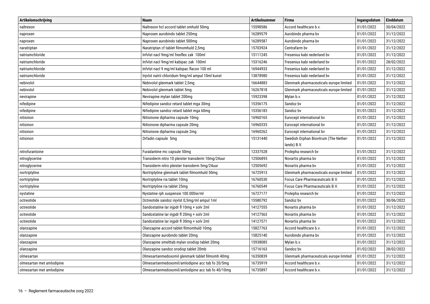| Artikelomschrijving       | <b>Naam</b>                                       | <b>Artikelnummer</b>                  | <b>Firma</b>                            | Ingangsdatum | Einddatum  |
|---------------------------|---------------------------------------------------|---------------------------------------|-----------------------------------------|--------------|------------|
| naltrexon                 | Naltrexon hcl accord tablet omhuld 50mg           | 15598586                              | Accord healthcare b.v.                  | 01/01/2022   | 30/04/2022 |
| naproxen                  | Naproxen aurobindo tablet 250mg                   | 16289579                              | Aurobindo pharma bv                     | 01/01/2022   | 31/12/2022 |
| naproxen                  | Naproxen aurobindo tablet 500mg                   | 16289587                              | Aurobindo pharma bv                     | 01/01/2022   | 31/12/2022 |
| naratriptan               | Naratriptan cf tablet filmomhuld 2,5mg            | 15703924                              | Centrafarm by                           | 01/01/2022   | 31/12/2022 |
| natriumchloride           | Infvlst nacl 9mg/ml freeflex zak 100ml            | 15111245                              | Fresenius kabi nederland by             | 01/01/2022   | 31/12/2022 |
| natriumchloride           | Infvlst nacl 9mg/ml kabipac zak 100ml             | 15316246                              | Fresenius kabi nederland by             | 01/01/2022   | 28/02/2022 |
| natriumchloride           | Infvlst nacl 9 mg/ml kabipac flacon 100 ml        | 16944933                              | Fresenius kabi nederland by             | 01/01/2022   | 31/12/2022 |
| natriumchloride           | Injvlst natrii chloridum 9mg/ml ampul 10ml kunst  | 13878980                              | Fresenius kabi nederland bv             | 01/01/2022   | 31/12/2022 |
| nebivolol                 | Nebivolol glenmark tablet 2,5mg                   | 16644883                              | Glenmark pharmaceuticals europe limited | 01/01/2022   | 31/12/2022 |
| nebivolol                 | Nebivolol glenmark tablet 5mg                     | 16267818                              | Glenmark pharmaceuticals europe limited | 01/01/2022   | 31/12/2022 |
| nevirapine                | Nevirapine mylan tablet 200mg                     | 15923398                              | Mylan b.v.                              | 01/01/2022   | 31/12/2022 |
| nifedipine                | Nifedipine sandoz retard tablet mga 30mg          | 15356175                              | Sandoz bv                               | 01/01/2022   | 31/12/2022 |
| nifedipine                | Nifedipine sandoz retard tablet mga 60mg          | 15356183                              | Sandoz bv                               | 01/01/2022   | 31/12/2022 |
| nitisinon                 | Nitisinone dipharma capsule 10mg                  | 16960165                              | Eurocept international bv               | 01/01/2022   | 31/12/2022 |
| nitisinon                 | Nitisinone dipharma capsule 20mg                  | 16960335<br>Eurocept international bv |                                         | 01/01/2022   | 31/12/2022 |
| nitisinon                 | Nitisinone dipharma capsule 2mg                   | 16960262                              | Eurocept international by               | 01/01/2022   | 31/12/2022 |
| nitisinon                 | Orfadin capsule 5mg                               | 15131440                              | Swedish Orphan Biovitrum (The Nether-   | 01/01/2022   | 31/12/2022 |
|                           |                                                   |                                       | lands) B.V.                             |              |            |
| nitrofurantoine           | Furadantine mc capsule 50mg                       | 12337528                              | Prolepha research bv                    | 01/01/2022   | 31/12/2022 |
| nitroglycerine            | Transiderm nitro 10 pleister transderm 10mg/24uur | 12506893                              | Novartis pharma bv                      | 01/01/2022   | 31/12/2022 |
| nitroglycerine            | Transiderm nitro pleister transderm 5mg/24uur     | 12505692                              | Novartis pharma bv                      | 01/01/2022   | 31/12/2022 |
| nortriptyline             | Nortriptyline glenmark tablet filmomhuld 50mg     | 16725913                              | Glenmark pharmaceuticals europe limited | 01/01/2022   | 31/12/2022 |
| nortriptyline             | Nortriptyline ria tablet 10mg                     | 16760530                              | Focus Care Pharmaceuticals B.V.         | 01/01/2022   | 31/12/2022 |
| nortriptyline             | Nortriptyline ria tablet 25mg                     | 16760549                              | Focus Care Pharmaceuticals B.V.         | 01/01/2022   | 31/12/2022 |
| nystatine                 | Nystatine rph suspensie 100.000ie/ml              | 16727177                              | Prolepha research bv                    | 01/01/2022   | 31/12/2022 |
| octreotide                | Octreotide sandoz injvlst 0,5mg/ml ampul 1ml      | 15580792                              | Sandoz bv                               | 01/01/2022   | 30/06/2022 |
| octreotide                | Sandostatine lar injpdr fl 10mg + solv 2ml        | 14127555                              | Novartis pharma bv                      | 01/01/2022   | 31/12/2022 |
| octreotide                | Sandostatine lar injpdr fl 20mg + solv 2ml        | 14127563                              | Novartis pharma bv                      | 01/01/2022   | 31/12/2022 |
| octreotide                | Sandostatine lar injpdr fl 30mg + solv 2ml        | 14127571                              | Novartis pharma bv                      | 01/01/2022   | 31/12/2022 |
| olanzapine                | Olanzapine accord tablet filmomhuld 10mg          | 15827763                              | Accord healthcare b.v.                  | 01/01/2022   | 31/12/2022 |
| olanzapine                | Olanzapine aurobindo tablet 20mg                  | 15825140                              | Aurobindo pharma bv                     | 01/01/2022   | 31/12/2022 |
| olanzapine                | Olanzapine smelttab mylan orodisp tablet 20mg     | 15938085                              | Mylan b.v.                              | 01/01/2022   | 31/12/2022 |
| olanzapine                | Olanzapine sandoz orodisp tablet 20mb             | 15716163                              | Sandoz bv                               | 01/02/2022   | 28/02/2022 |
| olmesartan                | Olmesartanmedoxomil glenmark tablet filmomh 40mg  | 16350839                              | Glenmark pharmaceuticals europe limited | 01/01/2022   | 31/12/2022 |
| olmesartan met amlodipine | Olmesartanmedoxomil/amlodipine acc tab fo 20/5mg  | 16735919                              | Accord healthcare b.v.                  | 01/01/2022   | 31/12/2022 |
| olmesartan met amlodipine | Olmesartanmedoxomil/amlodipine acc tab fo 40/10mg | 16735897                              | Accord healthcare b.v.                  | 01/01/2022   | 31/12/2022 |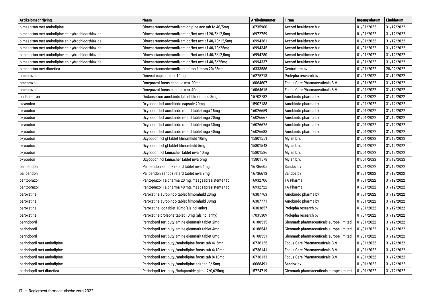| Artikelomschrijving                              | <b>Naam</b>                                        | <b>Artikelnummer</b> | <b>Firma</b>                            | Ingangsdatum | Einddatum  |
|--------------------------------------------------|----------------------------------------------------|----------------------|-----------------------------------------|--------------|------------|
| olmesartan met amlodipine                        | Olmesartanmedoxomil/amlodipine acc tab fo 40/5mg   | 16735900             | Accord healthcare b.v.                  | 01/01/2022   | 31/12/2022 |
| olmesartan met amlodipine en hydrochloorthiazide | Olmesartanmedoxomil/amlod/hct acc t f 20/5/12,5mg  | 16972759             | Accord healthcare b.v.                  | 01/01/2022   | 31/12/2022 |
| olmesartan met amlodipine en hydrochloorthiazide | Olmesartanmedoxomil/amlod/hct acc t f 40/10/12,5mg | 16994361             | Accord healthcare b.v.                  | 01/01/2022   | 31/12/2022 |
| olmesartan met amlodipine en hydrochloorthiazide | Olmesartanmedoxomil/amlod/hct acc t f 40/10/25mg   | 16994345             | Accord healthcare b.v.                  | 01/01/2022   | 31/12/2022 |
| olmesartan met amlodipine en hydrochloorthiazide | Olmesartanmedoxomil/amlod/hct acc t f 40/5/12,5mg  | 16994280             | Accord healthcare b.v.                  | 01/01/2022   | 31/12/2022 |
| olmesartan met amlodipine en hydrochloorthiazide | Olmesartanmedoxomil/amlod/hct acc t f 40/5/25mg    | 16994337             | Accord healthcare b.v.                  | 01/01/2022   | 31/12/2022 |
| olmesartan met diuretica                         | Olmesartanmedoxomil/hct cf tab filmom 20/25mg      | 16333586             | Centrafarm by                           | 01/01/2022   | 28/02/2022 |
| omeprazol                                        | Omecat capsule msr 10mg                            | 16275713             | Prolepha research bv                    | 01/01/2022   | 31/12/2022 |
| omeprazol                                        | Omeprazol focus capsule msr 20mg                   | 16064607             | Focus Care Pharmaceuticals B.V.         | 01/01/2022   | 31/12/2022 |
| omeprazol                                        | Omeprazol focus capsule msr 40mg                   | 16064615             | Focus Care Pharmaceuticals B.V.         | 01/01/2022   | 31/12/2022 |
| ondansetron                                      | Ondansetron aurobindo tablet filmomhuld 8mg        | 15702782             | Aurobindo pharma bv                     | 01/01/2022   | 31/12/2022 |
| oxycodon                                         | Oxycodon hcl aurobindo capsule 20mg                | 15902188             | Aurobindo pharma bv                     | 01/01/2022   | 31/12/2022 |
| oxycodon                                         | Oxycodon hcl aurobindo retard tablet mga 15mg      | 16026659             | Aurobindo pharma bv                     | 01/01/2022   | 31/12/2022 |
| oxycodon                                         | Oxycodon hcl aurobindo retard tablet mga 20mg      | 16026667             | Aurobindo pharma bv                     | 01/01/2022   | 31/12/2022 |
| oxycodon                                         | Oxycodon hcl aurobindo retard tablet mga 30mg      | 16026675             | Aurobindo pharma bv                     | 01/01/2022   | 31/12/2022 |
| oxycodon                                         | Oxycodon hcl aurobindo retard tablet mga 40mg      | 16026683             | Aurobindo pharma bv                     | 01/01/2022   | 31/12/2022 |
| oxycodon                                         | Oxycodon hcl gl tablet filmomhuld 10mg             | 15801551             | Mylan b.v.                              | 01/01/2022   | 31/12/2022 |
| oxycodon                                         | Oxycodon hcl gl tablet filmomhuld 5mg              | 15801543             | Mylan b.v.                              | 01/01/2022   | 31/12/2022 |
| oxycodon                                         | Oxycodon hcl lannacher tablet mva 10mg             | 15801586             | Mylan b.v.                              | 01/01/2022   | 31/12/2022 |
| oxycodon                                         | Oxycodon hcl lannacher tablet mva 5mg              | 15801578             | Mylan b.v.                              | 01/01/2022   | 31/12/2022 |
| paliperidon                                      | Paliperidon sandoz retard tablet mva 6mg           | 16736605             | Sandoz bv                               | 01/01/2022   | 31/12/2022 |
| paliperidon                                      | Paliperidon sandoz retard tablet mva 9mg           | 16736613             | Sandoz bv                               | 01/01/2022   | 31/12/2022 |
| pantoprazol                                      | Pantoprazol 1a pharma 20 mg, maagsapresistente tab | 16932706             | 1A Pharma                               | 01/01/2022   | 31/12/2022 |
| pantoprazol                                      | Pantoprazol 1a pharma 40 mg, maagsapresistente tab | 16932722             | 1A Pharma                               | 01/01/2022   | 31/12/2022 |
| paroxetine                                       | Paroxetine aurobindo tablet filmomhuld 20mg        | 16307763             | Aurobindo pharma bv                     | 01/01/2022   | 31/12/2022 |
| paroxetine                                       | Paroxetine aurobindo tablet filmomhuld 30mg        | 16307771             | Aurobindo pharma bv                     | 01/01/2022   | 31/12/2022 |
| paroxetine                                       | Paroxetine icc tablet 10mg(als hcl anhy)           | 16303857             | Prolepha research bv                    | 01/01/2022   | 31/12/2022 |
| paroxetine                                       | Paroxetine prolepha tablet 10mg (als hcl anhy)     | 17035309             | Prolepha research bv                    | 01/04/2022   | 31/12/2022 |
| perindopril                                      | Perindopril tert-butylamine glenmark tablet 2mg    | 16188535             | Glenmark pharmaceuticals europe limited | 01/01/2022   | 31/12/2022 |
| perindopril                                      | Perindopril tert-butylamine glenmark tablet 4mg    | 16188543             | Glenmark pharmaceuticals europe limited | 01/01/2022   | 31/12/2022 |
| perindopril                                      | Perindopril tert-butylamine glenmark tablet 8mg    | 16188551             | Glenmark pharmaceuticals europe limited | 01/01/2022   | 31/12/2022 |
| perindopril met amlodipine                       | Perindopril tert-butyl/amlodipine focus tab 4/ 5mg | 16736125             | Focus Care Pharmaceuticals B.V.         | 01/01/2022   | 31/12/2022 |
| perindopril met amlodipine                       | Perindopril tert-butyl/amlodipine focus tab 4/10mg | 16736141             | Focus Care Pharmaceuticals B.V.         | 01/01/2022   | 31/12/2022 |
| perindopril met amlodipine                       | Perindopril tert-butyl/amlodipine focus tab 8/10mg | 16736133             | Focus Care Pharmaceuticals B.V.         | 01/01/2022   | 31/12/2022 |
| perindopril met amlodipine                       | Perindopril tert-butyl/amlodipine sdz tab 8/5mg    | 16068491             | Sandoz bv                               | 01/01/2022   | 31/12/2022 |
| perindopril met diuretica                        | Perindopril tert-butyl/indapamide glen t 2/0,625mg | 15724719             | Glenmark pharmaceuticals europe limited | 01/01/2022   | 31/12/2022 |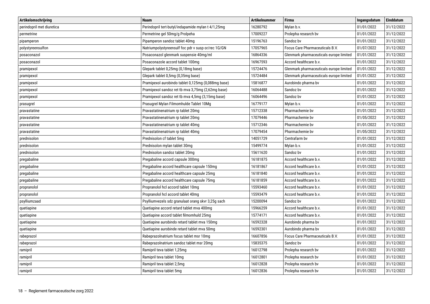| Artikelomschrijving       | <b>Naam</b>                                        | <b>Artikelnummer</b> | <b>Firma</b>                            | Ingangsdatum | <b>Einddatum</b> |
|---------------------------|----------------------------------------------------|----------------------|-----------------------------------------|--------------|------------------|
| perindopril met diuretica | Perindopril tert-butyl/indapamide mylan t 4/1,25mg | 16280792             | Mylan b.v.                              | 01/01/2022   | 31/12/2022       |
| permetrine                | Permetrine gel 50mg/g Prolpeha                     | 17009227             | Prolepha research bv                    | 01/01/2022   | 31/12/2022       |
| pipamperon                | Pipamperon sandoz tablet 40mg                      | 15196763             | Sandoz bv                               | 01/01/2022   | 31/12/2022       |
| polystyreensulfon         | Natriumpolystyreensulf foc pdr v susp or/rec 1G/GN | 17057965             | Focus Care Pharmaceuticals B.V.         | 01/07/2022   | 31/12/2022       |
| posaconazol               | Posaconazol glenmark suspensie 40mg/ml             | 16864336             | Glenmark pharmaceuticals europe limited | 01/01/2022   | 31/12/2022       |
| posaconazol               | Posaconazole accord tablet 100mg                   | 16967593             | Accord healthcare b.v.                  | 01/01/2022   | 31/12/2022       |
| pramipexol                | Glepark tablet 0,25mg (0,18mg base)                | 15724476             | Glenmark pharmaceuticals europe limited | 01/01/2022   | 31/12/2022       |
| pramipexol                | Glepark tablet 0,5mg (0,35mg base)                 | 15724484             | Glenmark pharmaceuticals europe limited | 01/01/2022   | 31/12/2022       |
| pramipexol                | Pramipexol aurobindo tablet 0,125mg (0,088mg base) | 15816877             | Aurobindo pharma bv                     | 01/01/2022   | 31/12/2022       |
| pramipexol                | Pramipexol sandoz ret tb mva 3,75mg (2,62mg base)  | 16064488             | Sandoz by                               | 01/01/2022   | 31/12/2022       |
| pramipexol                | Pramipexol sandoz ret tb mva 4,5mg (3,15mg base)   | 16064496             | Sandoz bv                               | 01/01/2022   | 31/12/2022       |
| prasugrel                 | Prasugrel Mylan Filmomhulde Tablet 10Mg            | 16779177             | Mylan b.v.                              | 01/01/2022   | 31/12/2022       |
| pravastatine              | Pravastatinenatrium rp tablet 20mg                 | 15712338             | Pharmachemie bv                         | 01/01/2022   | 31/12/2022       |
| pravastatine              | Pravastatinenatrium rp tablet 20mg                 | 17079446             | Pharmachemie bv                         | 01/05/2022   | 31/12/2022       |
| pravastatine              | Pravastatinenatrium rp tablet 40mg                 | 15712346             | Pharmachemie bv                         | 01/01/2022   | 31/12/2022       |
| pravastatine              | Pravastatinenatrium rp tablet 40mg                 | 17079454             | Pharmachemie bv                         | 01/05/2022   | 31/12/2022       |
| prednisolon               | Prednisolon cf tablet 5mg                          | 14051729             | Centrafarm by                           | 01/01/2022   | 31/12/2022       |
| prednisolon               | Prednisolon mylan tablet 30mg                      | 15499774             | Mylan b.v.                              | 01/01/2022   | 31/12/2022       |
| prednisolon               | Prednisolon sandoz tablet 20mg                     | 15611620             | Sandoz bv                               | 01/01/2022   | 31/12/2022       |
| pregabaline               | Pregabaline accord capsule 300mg                   | 16181875             | Accord healthcare b.v.                  | 01/01/2022   | 31/12/2022       |
| pregabaline               | Pregabaline accord healthcare capsule 150mg        | 16181867             | Accord healthcare b.v.                  | 01/01/2022   | 31/12/2022       |
| pregabaline               | Pregabaline accord healthcare capsule 25mg         | 16181840             | Accord healthcare b.v.                  | 01/01/2022   | 31/12/2022       |
| pregabaline               | Pregabaline accord healthcare capsule 75mg         | 16181859             | Accord healthcare b.v.                  | 01/01/2022   | 31/12/2022       |
| propranolol               | Propranolol hcl accord tablet 10mg                 | 15593460             | Accord healthcare b.v.                  | 01/01/2022   | 31/12/2022       |
| propranolol               | Propranolol hcl accord tablet 40mg                 | 15593479             | Accord healthcare b.v.                  | 01/01/2022   | 31/12/2022       |
| psylliumzaad              | Psylliumvezels sdz granulaat orang skvr 3,25g sach | 15200094             | Sandoz bv                               | 01/01/2022   | 31/12/2022       |
| quetiapine                | Quetiapine accord retard tablet mva 400mg          | 15966259             | Accord healthcare b.v.                  | 01/01/2022   | 31/12/2022       |
| quetiapine                | Quetiapine accord tablet filmomhuld 25mg           | 15774171             | Accord healthcare b.v.                  | 01/01/2022   | 31/12/2022       |
| quetiapine                | Quetiapine aurobindo retard tablet mva 150mg       | 16592328             | Aurobindo pharma bv                     | 01/01/2022   | 31/12/2022       |
| quetiapine                | Quetiapine aurobinde retard tablet mva 50mg        | 16592301             | Aurobindo pharma bv                     | 01/01/2022   | 31/12/2022       |
| rabeprazol                | Rabeprazolnatrium focus tablet msr 10mg            | 16607856             | Focus Care Pharmaceuticals B.V.         | 01/01/2022   | 31/12/2022       |
| rabeprazol                | Rabeprazolnatrium sandoz tablet msr 20mg           | 15835375             | Sandoz bv                               | 01/01/2022   | 31/12/2022       |
| ramipril                  | Ramipril teva tablet 1,25mg                        | 16012798             | Prolepha research bv                    | 01/01/2022   | 31/12/2022       |
| ramipril                  | Ramipril teva tablet 10mg                          | 16012801             | Prolepha research bv                    | 01/01/2022   | 31/12/2022       |
| ramipril                  | Ramipril teva tablet 2,5mg                         | 16012828             | Prolepha research bv                    | 01/01/2022   | 31/12/2022       |
| ramipril                  | Ramipril teva tablet 5mg                           | 16012836             | Prolepha research bv                    | 01/01/2022   | 31/12/2022       |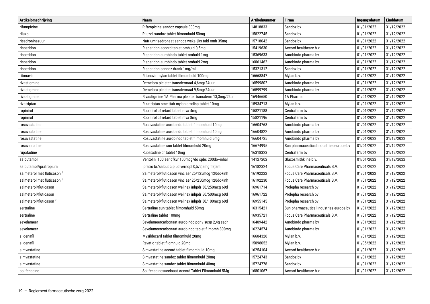| Artikelomschrijving                | <b>Naam</b>                                          | <b>Artikelnummer</b> | <b>Firma</b>                            | Ingangsdatum | Einddatum  |
|------------------------------------|------------------------------------------------------|----------------------|-----------------------------------------|--------------|------------|
| rifampicine                        | Rifampicine sandoz capsule 300mg                     | 14818833             | Sandoz by                               | 01/01/2022   | 31/12/2022 |
| riluzol                            | Riluzol sandoz tablet filmomhuld 50mg                | 15822745             | Sandoz bv                               | 01/01/2022   | 31/12/2022 |
| risedroninezuur                    | Natriumrisedronaat sandoz wekelijks tabl omh 35mg    | 15718042             | Sandoz bv                               | 01/01/2022   | 31/12/2022 |
| risperidon                         | Risperidon accord tablet omhuld 0,5mg                | 15419630             | Accord healthcare b.v.                  | 01/01/2022   | 31/12/2022 |
| risperidon                         | Risperidon aurobindo tablet omhuld 1mg               | 15369633             | Aurobindo pharma bv                     | 01/01/2022   | 31/12/2022 |
| risperidon                         | Risperidon aurobindo tablet omhuld 2mg               | 16061462             | Aurobindo pharma bv                     | 01/01/2022   | 31/12/2022 |
| risperidon                         | Risperidon sandoz drank 1mg/ml                       | 15321312             | Sandoz bv                               | 01/01/2022   | 31/12/2022 |
| ritonavir                          | Ritonavir mylan tablet filmomhuld 100mg              | 16668847             | Mylan b.v.                              | 01/01/2022   | 31/12/2022 |
| rivastigmine                       | Demelora pleister transdermaal 4,6mg/24uur           | 16599802             | Aurobindo pharma bv                     | 01/01/2022   | 31/12/2022 |
| rivastigmine                       | Demelora pleister transdermaal 9,5mg/24uur           | 16599799             | Aurobindo pharma bv                     | 01/01/2022   | 31/12/2022 |
| rivastigmine                       | Rivastigmine 1A Pharma pleister transderm 13,3mg/24u | 16946650             | 1A Pharma                               | 01/01/2022   | 31/12/2022 |
| rizatriptan                        | Rizatriptan smelttab mylan orodisp tablet 10mg       | 15934713             | Mylan b.v.                              | 01/01/2022   | 31/12/2022 |
| ropinirol                          | Ropinirol cf retard tablet mva 4mg                   | 15821188             | Centrafarm by                           | 01/01/2022   | 31/12/2022 |
| ropinirol                          | Ropinirol cf retard tablet mva 8mg                   | 15821196             | Centrafarm by                           | 01/01/2022   | 31/12/2022 |
| rosuvastatine                      | Rosuvastatine aurobindo tablet filmomhuld 10mg       | 16604768             | Aurobindo pharma bv                     | 01/01/2022   | 31/12/2022 |
| rosuvastatine                      | Rosuvastatine aurobindo tablet filmomhuld 40mg       | 16604822             | Aurobindo pharma bv                     | 01/01/2022   | 31/12/2022 |
| rosuvastatine                      | Rosuvastatine aurobindo tablet filmomhuld 5mg        | 16604725             | Aurobindo pharma bv                     | 01/01/2022   | 31/12/2022 |
| rosuvastatine                      | Rosuvastatine sun tablet filmomhuld 20mg             | 16674995             | Sun pharmaceutical industries europe bv | 01/01/2022   | 31/12/2022 |
| rupatadine                         | Rupatadine cf tablet 10mg                            | 16318323             | Centrafarm by                           | 01/01/2022   | 31/12/2022 |
| salbutamol                         | Ventolin 100 aer cfkvr 100mcg/do spbs 200do+inhal    | 14127202             | Glaxosmithkline b.v.                    | 01/01/2022   | 31/12/2022 |
| salbutamol/ipratropium             | Ipratro br/salbut cip ud vernopl 0,5/2,5mg fl2,5ml   | 16182324             | Focus Care Pharmaceuticals B.V.         | 01/01/2022   | 31/12/2022 |
| salmeterol met fluticason 5        | Salmeterol/fluticason vinc aer 25/125mcg 120do+inh   | 16192222             | Focus Care Pharmaceuticals B.V.         | 01/01/2022   | 31/12/2022 |
| salmeterol met fluticason 5        | Salmeterol/fluticason vinc aer 25/250mcg 120do+inh   | 16192230             | Focus Care Pharmaceuticals B.V.         | 01/01/2022   | 31/12/2022 |
| salmeterol/fluticason              | Salmeterol/fluticason wellnex inhpdr 50/250mcg 60d   | 16961714             | Prolepha research bv                    | 01/01/2022   | 31/12/2022 |
| salmeterol/fluticason              | Salmeterol/fluticason wellnex inhpdr 50/500mcg 60d   | 16961722             | Prolepha research bv                    | 01/01/2022   | 31/12/2022 |
| salmeterol/fluticason <sup>7</sup> | Salmeterol/fluticason wellnex inhpdr 50/100mcg 60d   | 16955145             | Prolepha research bv                    | 01/01/2022   | 31/12/2022 |
| sertraline                         | Sertraline sun tablet filmomhuld 50mg                | 16315421             | Sun pharmaceutical industries europe by | 01/01/2022   | 31/12/2022 |
| sertraline                         | Sertraline tablet 100mg                              | 16935721             | Focus Care Pharmaceuticals B.V.         | 01/01/2022   | 31/12/2022 |
| sevelameer                         | Sevelameercarbonaat aurobindo pdr v susp 2,4g sach   | 16409442             | Aurobindo pharma bv                     | 01/01/2022   | 31/12/2022 |
| sevelameer                         | Sevelameercarbonaat aurobindo tablet filmomh 800mg   | 16224574             | Aurobindo pharma bv                     | 01/01/2022   | 31/12/2022 |
| sildenafil                         | Mysildecard tablet filmomhuld 20mg                   | 16604326             | Mylan b.v.                              | 01/01/2022   | 31/12/2022 |
| sildenafil                         | Revatio tablet filomhuld 20mg                        | 15098052             | Mylan b.v.                              | 01/05/2022   | 31/12/2022 |
| simvastatine                       | Simvastatine accord tablet filmomhuld 10mg           | 16254104             | Accord healthcare b.v.                  | 01/01/2022   | 31/12/2022 |
| simvastatine                       | Simvastatine sandoz tablet filmomhuld 20mg           | 15724743             | Sandoz bv                               | 01/01/2022   | 31/12/2022 |
| simvastatine                       | Simvastatine sandoz tablet filmomhuld 40mg           | 15724778             | Sandoz bv                               | 01/01/2022   | 31/12/2022 |
| solifenacine                       | Solifenacinesuccinaat Accord Tablet Filmomhuld 5Mg   | 16801067             | Accord healthcare b.v.                  | 01/01/2022   | 31/12/2022 |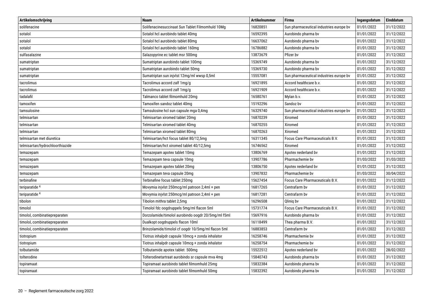| Artikelomschrijving             | <b>Naam</b>                                        | <b>Artikelnummer</b> | <b>Firma</b>                            | Ingangsdatum | Einddatum  |
|---------------------------------|----------------------------------------------------|----------------------|-----------------------------------------|--------------|------------|
| solifenacine                    | Solifenacinesuccinaat Sun Tablet Filmomhuld 10Mg   | 16820851             | Sun pharmaceutical industries europe by | 01/01/2022   | 31/12/2022 |
| sotalol                         | Sotalol hcl aurobindo tablet 40mg                  | 16592395             | Aurobindo pharma by                     | 01/01/2022   | 31/12/2022 |
| sotalol                         | Sotalol hcl aurobindo tablet 80mg                  | 16637062             | Aurobindo pharma bv                     | 01/01/2022   | 31/12/2022 |
| sotalol                         | Sotalol hcl aurobindo tablet 160mg                 | 16786882             | Aurobindo pharma bv                     | 01/01/2022   | 31/12/2022 |
| sulfasalazine                   | Salazopyrine ec tablet msr 500mg                   | 13873679             | Pfizer by                               | 01/01/2022   | 31/12/2022 |
| sumatriptan                     | Sumatriptan aurobindo tablet 100mg                 | 15369749             | Aurobindo pharma bv                     | 01/01/2022   | 31/12/2022 |
| sumatriptan                     | Sumatriptan aurobindo tablet 50mg                  | 15369730             | Aurobindo pharma bv                     | 01/01/2022   | 31/12/2022 |
| sumatriptan                     | Sumatriptan sun injvlst 12mg/ml wwsp 0,5ml         | 15557081             | Sun pharmaceutical industries europe by | 01/01/2022   | 31/12/2022 |
| tacrolimus                      | Tacrolimus accord zalf 1mg/g                       | 16921895             | Accord healthcare b.v.                  | 01/01/2022   | 31/12/2022 |
| tacrolimus                      | Tacrolimus accord zalf 1mg/g                       | 16921909             | Accord healthcare b.v.                  | 01/01/2022   | 31/12/2022 |
| tadalafil                       | Talmanco tablet filmomhuld 20mg                    | 16580761             | Mylan b.v.                              | 01/01/2022   | 31/12/2022 |
| tamoxifen                       | Tamoxifen sandoz tablet 40mg                       | 15192296             | Sandoz bv                               | 01/01/2022   | 31/12/2022 |
| tamsulosine                     | Tamsulosine hcl sun capsule mga 0,4mg              | 16329740             | Sun pharmaceutical industries europe by | 01/01/2022   | 31/12/2022 |
| telmisartan                     | Telmisartan xiromed tablet 20mg                    | 16870239             | Xiromed                                 | 01/01/2022   | 31/12/2022 |
| telmisartan                     | Telmisartan xiromed tablet 40mg                    | 16870255             | Xiromed                                 | 01/01/2022   | 31/12/2022 |
| telmisartan                     | Telmisartan xiromed tablet 80mg                    | 16870263             | Xiromed                                 | 01/01/2022   | 31/12/2022 |
| telmisartan met diuretica       | Telmisartan/hct focus tablet 80/12,5mg             | 16311345             | Focus Care Pharmaceuticals B.V.         | 01/01/2022   | 31/12/2022 |
| telmisartan/hydrochloorthiazide | Telmisartan/hct xiromed tablet 40/12,5mg           | 16746562             | Xiromed                                 | 01/01/2022   | 31/12/2022 |
| temazepam                       | Temazepam apotex tablet 10mg                       | 13806769             | Apotex nederland bv                     | 01/01/2022   | 31/12/2022 |
| temazepam                       | Temazepam teva capsule 10mg                        | 13907786             | Pharmachemie bv                         | 01/03/2022   | 31/03/2022 |
| temazepam                       | Temazepam apotex tablet 20mg                       | 13806750             | Apotex nederland bv                     | 01/01/2022   | 31/12/2022 |
| temazepam                       | Temazepam teva capsule 20mg                        | 13907832             | Pharmachemie bv                         | 01/03/2022   | 30/04/2022 |
| terbinafine                     | Terbinafine focus tablet 250mg                     | 15627454             | Focus Care Pharmaceuticals B.V.         | 01/01/2022   | 31/12/2022 |
| teriparatide <sup>4</sup>       | Movymia injvlst 250mcg/ml patroon 2,4ml + pen      | 16817265             | Centrafarm by                           | 01/01/2022   | 31/12/2022 |
| teriparatide <sup>4</sup>       | Movymia injvlst 250mcg/ml patroon 2,4ml + pen      | 16817281             | Centrafarm by                           | 01/01/2022   | 31/12/2022 |
| tibolon                         | Tibolon mithra tablet 2,5mg                        | 16296508             | Qlinig by                               | 01/01/2022   | 31/12/2022 |
| timolol                         | Timolol fdc oogdruppels 5mg/ml flacon 5ml          | 15731774             | Focus Care Pharmaceuticals B.V.         | 01/01/2022   | 31/12/2022 |
| timolol, combinatiepreparaten   | Dorzolamide/timolol aurobindo oogdr 20/5mg/ml f5ml | 15697916             | Aurobindo pharma bv                     | 01/01/2022   | 31/12/2022 |
| timolol, combinatiepreparaten   | Dualkopt oogdruppels flacon 10ml                   | 16118499             | Thea pharma B.V.                        | 01/01/2022   | 31/12/2022 |
| timolol, combinatiepreparaten   | Brinzolamide/timolol cf oogdr 10/5mg/ml flacon 5ml | 16883853             | Centrafarm by                           | 01/01/2022   | 31/12/2022 |
| tiotropium                      | Tiotrus inhalpdr capsule 10mcq + zonda inhalator   | 16258746             | Pharmachemie bv                         | 01/01/2022   | 31/12/2022 |
| tiotropium                      | Tiotrus inhalpdr capsule 10mcq + zonda inhalator   | 16258754             | Pharmachemie by                         | 01/01/2022   | 31/12/2022 |
| tolbutamide                     | Tolbutamide apotex tablet 500mg                    | 15522512             | Apotex nederland bv                     | 01/01/2022   | 28/02/2022 |
| tolterodine                     | Tolterodinetartraat aurobindo sr capsule mva 4mg   | 15840743             | Aurobindo pharma bv                     | 01/01/2022   | 31/12/2022 |
| topiramaat                      | Topiramaat aurobindo tablet filmomhuld 25mg        | 15832384             | Aurobindo pharma bv                     | 01/01/2022   | 31/12/2022 |
| topiramaat                      | Topiramaat aurobindo tablet filmomhuld 50mg        | 15832392             | Aurobindo pharma bv                     | 01/01/2022   | 31/12/2022 |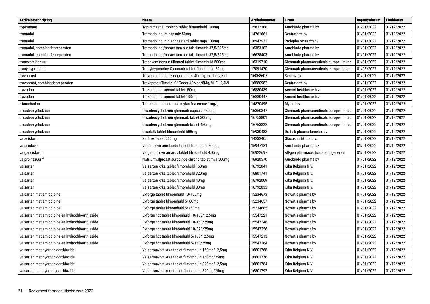| Artikelomschrijving                             | <b>Naam</b>                                        | <b>Artikelnummer</b>                                | <b>Firma</b>                            | Ingangsdatum | <b>Einddatum</b> |
|-------------------------------------------------|----------------------------------------------------|-----------------------------------------------------|-----------------------------------------|--------------|------------------|
| topiramaat                                      | Topiramaat aurobindo tablet filmomhuld 100mg       | 15832368                                            | Aurobindo pharma bv                     | 01/01/2022   | 31/12/2022       |
| tramadol                                        | Tramadol hcl cf capsule 50mg                       | 14761661                                            | Centrafarm bv                           | 01/01/2022   | 31/12/2022       |
| tramadol                                        | Tramadol hcl prolepha retard tablet mga 100mg      | 16947932                                            | Prolepha research bv                    | 01/01/2022   | 31/12/2022       |
| tramadol, combinatiepreparaten                  | Tramadol hcl/paracetam aur tab filmomh 37,5/325mg  | 16353102                                            | Aurobindo pharma bv                     | 01/01/2022   | 31/12/2022       |
| tramadol, combinatiepreparaten                  | Tramadol hcl/paracetam aur tab filmomh 37,5/325mg  | 16628403                                            | Aurobindo pharma bv                     | 01/01/2022   | 31/12/2022       |
| tranexaminezuur                                 | Tranexaminezuur tillomed tablet filmomhuld 500mg   | 16319710                                            | Glenmark pharmaceuticals europe limited | 01/01/2022   | 31/12/2022       |
| tranylcypromine                                 | Tranylcypromine Glenmark tablet filmomhuld 20mg    | 17091470                                            | Glenmark pharmaceuticals europe limited | 01/05/2022   | 31/12/2022       |
| travoprost                                      | Travoprost sandoz oogdruppels 40mcg/ml flac 2,5ml  | 16058607                                            | Sandoz by                               | 01/01/2022   | 31/12/2022       |
| travoprost, combinatiepreparaten                | Travoprost/Timolol Cf Oogdr 40Mcg/5Mg/MI FI 2,5MI  | 16580982                                            | Centrafarm by                           | 01/01/2022   | 31/12/2022       |
| trazodon                                        | Trazodon hcl accord tablet 50mg                    | 16880439                                            | Accord healthcare b.v.                  | 01/01/2022   | 31/12/2022       |
| trazodon                                        | Trazodon hcl accord tablet 100mg                   | 16880447                                            | Accord healthcare b.v.                  | 01/01/2022   | 31/12/2022       |
| triamcinolon                                    | Triamcinolonacetonide mylan fna creme 1mg/g        | 14870495                                            | Mylan b.v.                              | 01/01/2022   | 31/12/2022       |
| ursodeoxycholzuur                               | Ursodeoxycholzuur glenmark capsule 250mg           | 16350847                                            | Glenmark pharmaceuticals europe limited | 01/01/2022   | 31/12/2022       |
| ursodeoxycholzuur                               | Ursodeoxycholzuur glenmark tablet 300mg            | 16753801                                            | Glenmark pharmaceuticals europe limited | 01/01/2022   | 31/12/2022       |
| ursodeoxycholzuur                               | Ursodeoxycholzuur glenmark tablet 450mg            | 16753828<br>Glenmark pharmaceuticals europe limited |                                         | 01/01/2022   | 31/12/2022       |
| ursodeoxycholzuur                               | Ursofalk tablet filmomhuld 500mg                   | 15930483                                            | Dr. falk pharma benelux bv              | 01/01/2022   | 31/12/2022       |
| valaciclovir                                    | Zelitrex tablet 250mg                              | 14232405                                            | Glaxosmithkline b.v.                    | 01/01/2022   | 31/12/2022       |
| valaciclovir                                    | Valaciclovir aurobindo tablet filmomhuld 500mg     | 15947181                                            | Aurobindo pharma bv                     | 01/01/2022   | 31/12/2022       |
| valganciclovir                                  | Valganciclovir amarox tablet filmomhuld 450mg      | 16922697                                            | All-gen pharmaceuticals and generics    | 01/01/2022   | 31/12/2022       |
| valproinezuur <sup>4</sup>                      | Natriumvalproaat aurobinde chrono tablet mva 500mg | 16920570                                            | Aurobindo pharma bv                     | 01/01/2022   | 31/12/2022       |
| valsartan                                       | Valsartan krka tablet filmomhuld 160mg             | 16792041                                            | Krka Belgium N.V.                       | 01/01/2022   | 31/12/2022       |
| valsartan                                       | Valsartan krka tablet filmomhuld 320mg             | 16801741                                            | Krka Belgium N.V.                       | 01/01/2022   | 31/12/2022       |
| valsartan                                       | Valsartan krka tablet filmomhuld 40mg              | 16792009                                            | Krka Belgium N.V.                       | 01/01/2022   | 31/12/2022       |
| valsartan                                       | Valsartan krka tablet filmomhuld 80mg              | 16792033                                            | Krka Belgium N.V.                       | 01/01/2022   | 31/12/2022       |
| valsartan met amlodipine                        | Exforge tablet filmomhuld 10/160mg                 | 15234673                                            | Novartis pharma bv                      | 01/01/2022   | 31/12/2022       |
| valsartan met amlodipine                        | Exforge tablet filmomhuld 5/80mg                   | 15234657                                            | Novartis pharma bv                      | 01/01/2022   | 31/12/2022       |
| valsartan met amlodipine                        | Exforge tablet filmomhuld 5/160mg                  | 15234665                                            | Novartis pharma bv                      | 01/01/2022   | 31/12/2022       |
| valsartan met amlodipine en hydrochloorthiazide | Exforge hct tablet filmomhuld 10/160/12,5mg        | 15547221                                            | Novartis pharma bv                      | 01/01/2022   | 31/12/2022       |
| valsartan met amlodipine en hydrochloorthiazide | Exforge hct tablet filmomhuld 10/160/25mg          | 15547248                                            | Novartis pharma bv                      | 01/01/2022   | 31/12/2022       |
| valsartan met amlodipine en hydrochloorthiazide | Exforge hct tablet filmomhuld 10/320/25mg          | 15547256                                            | Novartis pharma bv                      | 01/01/2022   | 31/12/2022       |
| valsartan met amlodipine en hydrochloorthiazide | Exforge hct tablet filmomhuld 5/160/12,5mg         | 15547213                                            | Novartis pharma bv                      | 01/01/2022   | 31/12/2022       |
| valsartan met amlodipine en hydrochloorthiazide | Exforge hct tablet filmomhuld 5/160/25mg           | 15547264                                            | Novartis pharma bv                      | 01/01/2022   | 31/12/2022       |
| valsartan met hydrochloorthiazide               | Valsartan/hct krka tablet filmomhuld 160mg/12,5mg  | 16801768                                            | Krka Belgium N.V.                       | 01/01/2022   | 31/12/2022       |
| valsartan met hydrochloorthiazide               | Valsartan/hct krka tablet filmomhuld 160mg/25mg    | 16801776                                            | Krka Belgium N.V.                       | 01/01/2022   | 31/12/2022       |
| valsartan met hydrochloorthiazide               | Valsartan/hct krka tablet filmomhuld 320mg/12,5mg  | 16801784                                            | Krka Belgium N.V.                       | 01/01/2022   | 31/12/2022       |
| valsartan met hydrochloorthiazide               | Valsartan/hct krka tablet filmomhuld 320mg/25mg    | 16801792                                            | Krka Belgium N.V.                       | 01/01/2022   | 31/12/2022       |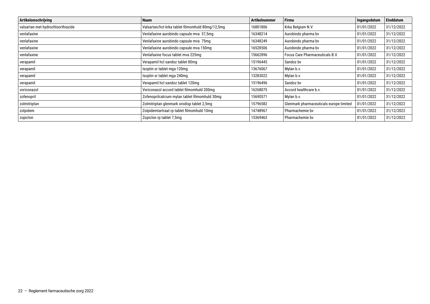| Artikelomschrijving               | <b>Naam</b>                                      | <b>Artikelnummer</b> | <b>Firma</b>                            | Ingangsdatum | <b>Einddatum</b> |
|-----------------------------------|--------------------------------------------------|----------------------|-----------------------------------------|--------------|------------------|
| valsartan met hydrochloorthiazide | Valsartan/hct krka tablet filmomhuld 80mg/12,5mg | 16801806             | Krka Belgium N.V.                       | 01/01/2022   | 31/12/2022       |
| venlafaxine                       | Venlafaxine aurobindo capsule mva 37,5mg         | 16348214             | Aurobindo pharma by                     | 01/01/2022   | 31/12/2022       |
| venlafaxine                       | Venlafaxine aurobindo capsule mva 75mg           | 16348249             | Aurobindo pharma bv                     | 01/01/2022   | 31/12/2022       |
| venlafaxine                       | Venlafaxine aurobindo capsule mva 150mg          | 16528506             | Aurobindo pharma bv                     | 01/01/2022   | 31/12/2022       |
| venlafaxine                       | Venlafaxine focus tablet mva 225mg               | 15662896             | <b>Focus Care Pharmaceuticals B.V.</b>  | 01/01/2022   | 31/12/2022       |
| verapamil                         | Verapamil hcl sandoz tablet 80mg                 | 15196445             | Sandoz bv                               | 01/01/2022   | 31/12/2022       |
| verapamil                         | Isoptin sr tablet mga 120mg                      | 13676067             | Mylan b.v.                              | 01/01/2022   | 31/12/2022       |
| verapamil                         | Isoptin sr tablet mga 240mg                      | 13283022             | Mylan b.v.                              | 01/01/2022   | 31/12/2022       |
| verapamil                         | Verapamil hcl sandoz tablet 120mg                | 15196496             | Sandoz bv                               | 01/01/2022   | 31/12/2022       |
| voriconazol                       | Voriconazol accord tablet filmomhuld 200mg       | 16268075             | Accord healthcare b.v.                  | 01/01/2022   | 31/12/2022       |
| zofenopril                        | Zofenoprilcalcium mylan tablet filmomhuld 30mg   | 15690571             | Mylan b.v.                              | 01/01/2022   | 31/12/2022       |
| zolmitriptan                      | Zolmitriptan glenmark orodisp tablet 2,5mg       | 15796582             | Glenmark pharmaceuticals europe limited | 01/01/2022   | 31/12/2022       |
| zolpidem                          | Zolpidemtartraat rp tablet filmomhuld 10mg       | 14748967             | Pharmachemie bv                         | 01/01/2022   | 31/12/2022       |
| zopicion                          | Zopicion rp tablet 7,5mg                         | 15369463             | Pharmachemie by                         | 01/01/2022   | 31/12/2022       |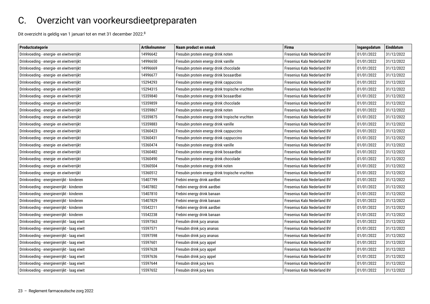### <span id="page-22-1"></span><span id="page-22-0"></span>C. Overzicht van voorkeursdieetpreparaten

Dit overzicht is geldig van 1 januari tot en met 31 december 2022.8

| Productcategorie                            | <b>Artikelnummer</b> | Naam product en smaak                            | <b>Firma</b>                | Ingangsdatum | Einddatum  |
|---------------------------------------------|----------------------|--------------------------------------------------|-----------------------------|--------------|------------|
| Drinkvoeding - energie- en eiwitverrijkt    | 14996642             | Fresubin protein energy drink noten              | Fresenius Kabi Nederland BV | 01/01/2022   | 31/12/2022 |
| Drinkvoeding - energie- en eiwitverrijkt    | 14996650             | Fresubin protein energy drink vanille            | Fresenius Kabi Nederland BV | 01/01/2022   | 31/12/2022 |
| Drinkvoeding - energie- en eiwitverrijkt    | 14996669             | Fresubin protein energy drink chocolade          | Fresenius Kabi Nederland BV | 01/01/2022   | 31/12/2022 |
| Drinkvoeding - energie- en eiwitverrijkt    | 14996677             | Fresubin protein energy drink bosaardbei         | Fresenius Kabi Nederland BV | 01/01/2022   | 31/12/2022 |
| Drinkvoeding - energie- en eiwitverrijkt    | 15294293             | Fresubin protein energy drink cappuccino         | Fresenius Kabi Nederland BV | 01/01/2022   | 31/12/2022 |
| Drinkvoeding - energie- en eiwitverrijkt    | 15294315             | Fresubin protein energy drink tropische vruchten | Fresenius Kabi Nederland BV | 01/01/2022   | 31/12/2022 |
| Drinkvoeding - energie- en eiwitverrijkt    | 15359840             | Fresubin protein energy drink bosaardbei         | Fresenius Kabi Nederland BV | 01/01/2022   | 31/12/2022 |
| Drinkvoeding - energie- en eiwitverrijkt    | 15359859             | Fresubin protein energy drink chocolade          | Fresenius Kabi Nederland BV | 01/01/2022   | 31/12/2022 |
| Drinkvoeding - energie- en eiwitverrijkt    | 15359867             | Fresubin protein energy drink noten              | Fresenius Kabi Nederland BV | 01/01/2022   | 31/12/2022 |
| Drinkvoeding - energie- en eiwitverrijkt    | 15359875             | Fresubin protein energy drink tropische vruchten | Fresenius Kabi Nederland BV | 01/01/2022   | 31/12/2022 |
| Drinkvoeding - energie- en eiwitverrijkt    | 15359883             | Fresubin protein energy drink vanille            | Fresenius Kabi Nederland BV | 01/01/2022   | 31/12/2022 |
| Drinkvoeding - energie- en eiwitverrijkt    | 15360423             | Fresubin protein energy drink cappuccino         | Fresenius Kabi Nederland BV | 01/01/2022   | 31/12/2022 |
| Drinkvoeding - energie- en eiwitverrijkt    | 15360431             | Fresubin protein energy drink cappuccino         | Fresenius Kabi Nederland BV | 01/01/2022   | 31/12/2022 |
| Drinkvoeding - energie- en eiwitverrijkt    | 15360474             | Fresubin protein energy drink vanille            | Fresenius Kabi Nederland BV | 01/01/2022   | 31/12/2022 |
| Drinkvoeding - energie- en eiwitverrijkt    | 15360482             | Fresubin protein energy drink bosaardbei         | Fresenius Kabi Nederland BV | 01/01/2022   | 31/12/2022 |
| Drinkvoeding - energie- en eiwitverrijkt    | 15360490             | Fresubin protein energy drink chocolade          | Fresenius Kabi Nederland BV | 01/01/2022   | 31/12/2022 |
| Drinkvoeding - energie- en eiwitverrijkt    | 15360504             | Fresubin protein energy drink noten              | Fresenius Kabi Nederland BV | 01/01/2022   | 31/12/2022 |
| Drinkvoeding - energie- en eiwitverrijkt    | 15360512             | Fresubin protein energy drink tropische vruchten | Fresenius Kabi Nederland BV | 01/01/2022   | 31/12/2022 |
| Drinkvoeding - energieverrijkt - kinderen   | 15407799             | Frebini energy drink aardbei                     | Fresenius Kabi Nederland BV | 01/01/2022   | 31/12/2022 |
| Drinkvoeding - energieverrijkt - kinderen   | 15407802             | Frebini energy drink aardbei                     | Fresenius Kabi Nederland BV | 01/01/2022   | 31/12/2022 |
| Drinkvoeding - energieverrijkt - kinderen   | 15407810             | Frebini energy drink banaan                      | Fresenius Kabi Nederland BV | 01/01/2022   | 31/12/2022 |
| Drinkvoeding - energieverrijkt - kinderen   | 15407829             | Frebini energy drink banaan                      | Fresenius Kabi Nederland BV | 01/01/2022   | 31/12/2022 |
| Drinkvoeding - energieverrijkt - kinderen   | 15542211             | Frebini energy drink aardbei                     | Fresenius Kabi Nederland BV | 01/01/2022   | 31/12/2022 |
| Drinkvoeding - energieverrijkt - kinderen   | 15542238             | Frebini energy drink banaan                      | Fresenius Kabi Nederland BV | 01/01/2022   | 31/12/2022 |
| Drinkvoeding - energieverrijkt - laag eiwit | 15597563             | Fresubin drink jucy ananas                       | Fresenius Kabi Nederland BV | 01/01/2022   | 31/12/2022 |
| Drinkvoeding - energieverrijkt - laag eiwit | 15597571             | Fresubin drink jucy ananas                       | Fresenius Kabi Nederland BV | 01/01/2022   | 31/12/2022 |
| Drinkvoeding - energieverrijkt - laag eiwit | 15597598             | Fresubin drink jucy ananas                       | Fresenius Kabi Nederland BV | 01/01/2022   | 31/12/2022 |
| Drinkvoeding - energieverrijkt - laag eiwit | 15597601             | Fresubin drink jucy appel                        | Fresenius Kabi Nederland BV | 01/01/2022   | 31/12/2022 |
| Drinkvoeding - energieverrijkt - laag eiwit | 15597628             | Fresubin drink jucy appel                        | Fresenius Kabi Nederland BV | 01/01/2022   | 31/12/2022 |
| Drinkvoeding - energieverrijkt - laag eiwit | 15597636             | Fresubin drink jucy appel                        | Fresenius Kabi Nederland BV | 01/01/2022   | 31/12/2022 |
| Drinkvoeding - energieverrijkt - laag eiwit | 15597644             | Fresubin drink jucy kers                         | Fresenius Kabi Nederland BV | 01/01/2022   | 31/12/2022 |
| Drinkvoeding - energieverrijkt - laag eiwit | 15597652             | Fresubin drink jucy kers                         | Fresenius Kabi Nederland BV | 01/01/2022   | 31/12/2022 |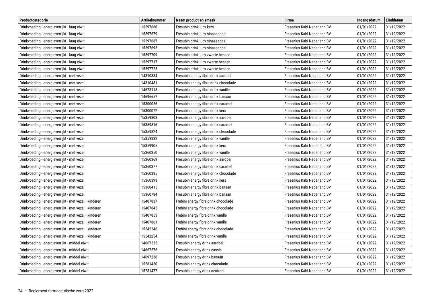| Productcategorie                                      | <b>Artikelnummer</b> | Naam product en smaak                 | <b>Firma</b>                | Ingangsdatum | Einddatum  |
|-------------------------------------------------------|----------------------|---------------------------------------|-----------------------------|--------------|------------|
| Drinkvoeding - energieverrijkt - laag eiwit           | 15597660             | Fresubin drink jucy kers              | Fresenius Kabi Nederland BV | 01/01/2022   | 31/12/2022 |
| Drinkvoeding - energieverrijkt - laag eiwit           | 15597679             | Fresubin drink jucy sinaasappel       | Fresenius Kabi Nederland BV | 01/01/2022   | 31/12/2022 |
| Drinkvoeding - energieverrijkt - laag eiwit           | 15597687             | Fresubin drink jucy sinaasappel       | Fresenius Kabi Nederland BV | 01/01/2022   | 31/12/2022 |
| Drinkvoeding - energieverrijkt - laag eiwit           | 15597695             | Fresubin drink jucy sinaasappel       | Fresenius Kabi Nederland BV | 01/01/2022   | 31/12/2022 |
| Drinkvoeding - energieverrijkt - laag eiwit           | 15597709             | Fresubin drink jucy zwarte bessen     | Fresenius Kabi Nederland BV | 01/01/2022   | 31/12/2022 |
| Drinkvoeding - energieverrijkt - laag eiwit           | 15597717             | Fresubin drink jucy zwarte bessen     | Fresenius Kabi Nederland BV | 01/01/2022   | 31/12/2022 |
| Drinkvoeding - energieverrijkt - laag eiwit           | 15597725             | Fresubin drink jucy zwarte bessen     | Fresenius Kabi Nederland BV | 01/01/2022   | 31/12/2022 |
| Drinkvoeding - energieverrijkt - met vezel            | 14310384             | Fresubin energy fibre drink aardbei   | Fresenius Kabi Nederland BV | 01/01/2022   | 31/12/2022 |
| Drinkvoeding - energieverrijkt - met vezel            | 14310481             | Fresubin energy fibre drink chocolade | Fresenius Kabi Nederland BV | 01/01/2022   | 31/12/2022 |
| Drinkvoeding - energieverrijkt - met vezel            | 14673118             | Fresubin energy fibre drink vanille   | Fresenius Kabi Nederland BV | 01/01/2022   | 31/12/2022 |
| Drinkvoeding - energieverrijkt - met vezel            | 14696657             | Fresubin energy fibre drink banaan    | Fresenius Kabi Nederland BV | 01/01/2022   | 31/12/2022 |
| Drinkvoeding - energieverrijkt - met vezel            | 15300056             | Fresubin energy fibre drink caramel   | Fresenius Kabi Nederland BV | 01/01/2022   | 31/12/2022 |
| Drinkvoeding - energieverrijkt - met vezel            | 15300072             | Fresubin energy fibre drink kers      | Fresenius Kabi Nederland BV | 01/01/2022   | 31/12/2022 |
| Drinkvoeding - energieverrijkt - met vezel            | 15359808             | Fresubin energy fibre drink aardbei   | Fresenius Kabi Nederland BV | 01/01/2022   | 31/12/2022 |
| Drinkvoeding - energieverrijkt - met vezel            | 15359816             | Fresubin energy fibre drink caramel   | Fresenius Kabi Nederland BV | 01/01/2022   | 31/12/2022 |
| Drinkvoeding - energieverrijkt - met vezel            | 15359824             | Fresubin energy fibre drink chocolade | Fresenius Kabi Nederland BV | 01/01/2022   | 31/12/2022 |
| Drinkvoeding - energieverrijkt - met vezel            | 15359832             | Fresubin energy fibre drink vanille   | Fresenius Kabi Nederland BV | 01/01/2022   | 31/12/2022 |
| Drinkvoeding - energieverrijkt - met vezel            | 15359905             | Fresubin energy fibre drink kers      | Fresenius Kabi Nederland BV | 01/01/2022   | 31/12/2022 |
| Drinkvoeding - energieverrijkt - met vezel            | 15360350             | Fresubin energy fibre drink vanille   | Fresenius Kabi Nederland BV | 01/01/2022   | 31/12/2022 |
| Drinkvoeding - energieverrijkt - met vezel            | 15360369             | Fresubin energy fibre drink aardbei   | Fresenius Kabi Nederland BV | 01/01/2022   | 31/12/2022 |
| Drinkvoeding - energieverrijkt - met vezel            | 15360377             | Fresubin energy fibre drink caramel   | Fresenius Kabi Nederland BV | 01/01/2022   | 31/12/2022 |
| Drinkvoeding - energieverrijkt - met vezel            | 15360385             | Fresubin energy fibre drink chocolade | Fresenius Kabi Nederland BV | 01/01/2022   | 31/12/2022 |
| Drinkvoeding - energieverrijkt - met vezel            | 15360393             | Fresubin energy fibre drink kers      | Fresenius Kabi Nederland BV | 01/01/2022   | 31/12/2022 |
| Drinkvoeding - energieverrijkt - met vezel            | 15360415             | Fresubin energy fibre drink banaan    | Fresenius Kabi Nederland BV | 01/01/2022   | 31/12/2022 |
| Drinkvoeding - energieverrijkt - met vezel            | 15360784             | Fresubin energy fibre drink banaan    | Fresenius Kabi Nederland BV | 01/01/2022   | 31/12/2022 |
| Drinkvoeding - energieverrijkt - met vezel - kinderen | 15407837             | Frebini energy fibre drink chocolade  | Fresenius Kabi Nederland BV | 01/01/2022   | 31/12/2022 |
| Drinkvoeding - energieverrijkt - met vezel - kinderen | 15407845             | Frebini energy fibre drink chocolade  | Fresenius Kabi Nederland BV | 01/01/2022   | 31/12/2022 |
| Drinkvoeding - energieverrijkt - met vezel - kinderen | 15407853             | Frebini energy fibre drink vanille    | Fresenius Kabi Nederland BV | 01/01/2022   | 31/12/2022 |
| Drinkvoeding - energieverrijkt - met vezel - kinderen | 15407861             | Frebini energy fibre drink vanille    | Fresenius Kabi Nederland BV | 01/01/2022   | 31/12/2022 |
| Drinkvoeding - energieverrijkt - met vezel - kinderen | 15542246             | Frebini energy fibre drink chocolade  | Fresenius Kabi Nederland BV | 01/01/2022   | 31/12/2022 |
| Drinkvoeding - energieverrijkt - met vezel - kinderen | 15542254             | Frebini energy fibre drink vanille    | Fresenius Kabi Nederland BV | 01/01/2022   | 31/12/2022 |
| Drinkvoeding - energieverrijkt - middel eiwit         | 14667525             | Fresubin energy drink aardbei         | Fresenius Kabi Nederland BV | 01/01/2022   | 31/12/2022 |
| Drinkvoeding - energieverrijkt - middel eiwit         | 14667576             | Fresubin energy drink cassis          | Fresenius Kabi Nederland BV | 01/01/2022   | 31/12/2022 |
| Drinkvoeding - energieverrijkt - middel eiwit         | 14697238             | Fresubin energy drink banaan          | Fresenius Kabi Nederland BV | 01/01/2022   | 31/12/2022 |
| Drinkvoeding - energieverrijkt - middel eiwit         | 15281450             | Fresubin energy drink chocolade       | Fresenius Kabi Nederland BV | 01/01/2022   | 31/12/2022 |
| Drinkvoeding - energieverrijkt - middel eiwit         | 15281477             | Fresubin energy drink neutraal        | Fresenius Kabi Nederland BV | 01/01/2022   | 31/12/2022 |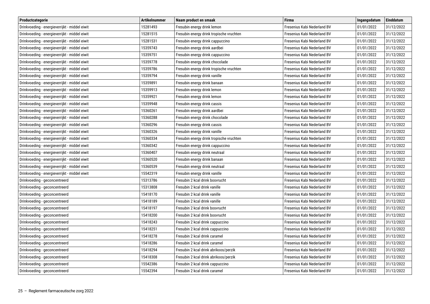| Productcategorie                              | <b>Artikelnummer</b> | Naam product en smaak                    | <b>Firma</b>                | Ingangsdatum | Einddatum  |
|-----------------------------------------------|----------------------|------------------------------------------|-----------------------------|--------------|------------|
| Drinkvoeding - energieverrijkt - middel eiwit | 15281493             | Fresubin energy drink lemon              | Fresenius Kabi Nederland BV | 01/01/2022   | 31/12/2022 |
| Drinkvoeding - energieverrijkt - middel eiwit | 15281515             | Fresubin energy drink tropische vruchten | Fresenius Kabi Nederland BV | 01/01/2022   | 31/12/2022 |
| Drinkvoeding - energieverrijkt - middel eiwit | 15281531             | Fresubin energy drink cappuccino         | Fresenius Kabi Nederland BV | 01/01/2022   | 31/12/2022 |
| Drinkvoeding - energieverrijkt - middel eiwit | 15359743             | Fresubin energy drink aardbei            | Fresenius Kabi Nederland BV | 01/01/2022   | 31/12/2022 |
| Drinkvoeding - energieverrijkt - middel eiwit | 15359751             | Fresubin energy drink cappuccino         | Fresenius Kabi Nederland BV | 01/01/2022   | 31/12/2022 |
| Drinkvoeding - energieverrijkt - middel eiwit | 15359778             | Fresubin energy drink chocolade          | Fresenius Kabi Nederland BV | 01/01/2022   | 31/12/2022 |
| Drinkvoeding - energieverrijkt - middel eiwit | 15359786             | Fresubin energy drink tropische vruchten | Fresenius Kabi Nederland BV | 01/01/2022   | 31/12/2022 |
| Drinkvoeding - energieverrijkt - middel eiwit | 15359794             | Fresubin energy drink vanille            | Fresenius Kabi Nederland BV | 01/01/2022   | 31/12/2022 |
| Drinkvoeding - energieverrijkt - middel eiwit | 15359891             | Fresubin energy drink banaan             | Fresenius Kabi Nederland BV | 01/01/2022   | 31/12/2022 |
| Drinkvoeding - energieverrijkt - middel eiwit | 15359913             | Fresubin energy drink lemon              | Fresenius Kabi Nederland BV | 01/01/2022   | 31/12/2022 |
| Drinkvoeding - energieverrijkt - middel eiwit | 15359921             | Fresubin energy drink lemon              | Fresenius Kabi Nederland BV | 01/01/2022   | 31/12/2022 |
| Drinkvoeding - energieverrijkt - middel eiwit | 15359948             | Fresubin energy drink cassis             | Fresenius Kabi Nederland BV | 01/01/2022   | 31/12/2022 |
| Drinkvoeding - energieverrijkt - middel eiwit | 15360261             | Fresubin energy drink aardbei            | Fresenius Kabi Nederland BV | 01/01/2022   | 31/12/2022 |
| Drinkvoeding - energieverrijkt - middel eiwit | 15360288             | Fresubin energy drink chocolade          | Fresenius Kabi Nederland BV | 01/01/2022   | 31/12/2022 |
| Drinkvoeding - energieverrijkt - middel eiwit | 15360296             | Fresubin energy drink cassis             | Fresenius Kabi Nederland BV | 01/01/2022   | 31/12/2022 |
| Drinkvoeding - energieverrijkt - middel eiwit | 15360326             | Fresubin energy drink vanille            | Fresenius Kabi Nederland BV | 01/01/2022   | 31/12/2022 |
| Drinkvoeding - energieverrijkt - middel eiwit | 15360334             | Fresubin energy drink tropische vruchten | Fresenius Kabi Nederland BV | 01/01/2022   | 31/12/2022 |
| Drinkvoeding - energieverrijkt - middel eiwit | 15360342             | Fresubin energy drink cappuccino         | Fresenius Kabi Nederland BV | 01/01/2022   | 31/12/2022 |
| Drinkvoeding - energieverrijkt - middel eiwit | 15360407             | Fresubin energy drink neutraal           | Fresenius Kabi Nederland BV | 01/01/2022   | 31/12/2022 |
| Drinkvoeding - energieverrijkt - middel eiwit | 15360520             | Fresubin energy drink banaan             | Fresenius Kabi Nederland BV | 01/01/2022   | 31/12/2022 |
| Drinkvoeding - energieverrijkt - middel eiwit | 15360539             | Fresubin energy drink neutraal           | Fresenius Kabi Nederland BV | 01/01/2022   | 31/12/2022 |
| Drinkvoeding - energieverrijkt - middel eiwit | 15542319             | Fresubin energy drink vanille            | Fresenius Kabi Nederland BV | 01/01/2022   | 31/12/2022 |
| Drinkvoeding - geconcentreerd                 | 15313786             | Fresubin 2 kcal drink bosvrucht          | Fresenius Kabi Nederland BV | 01/01/2022   | 31/12/2022 |
| Drinkvoeding - geconcentreerd                 | 15313808             | Fresubin 2 kcal drink vanille            | Fresenius Kabi Nederland BV | 01/01/2022   | 31/12/2022 |
| Drinkvoeding - geconcentreerd                 | 15418170             | Fresubin 2 kcal drink vanille            | Fresenius Kabi Nederland BV | 01/01/2022   | 31/12/2022 |
| Drinkvoeding - geconcentreerd                 | 15418189             | Fresubin 2 kcal drink vanille            | Fresenius Kabi Nederland BV | 01/01/2022   | 31/12/2022 |
| Drinkvoeding - geconcentreerd                 | 15418197             | Fresubin 2 kcal drink bosyrucht          | Fresenius Kabi Nederland BV | 01/01/2022   | 31/12/2022 |
| Drinkvoeding - geconcentreerd                 | 15418200             | Fresubin 2 kcal drink bosvrucht          | Fresenius Kabi Nederland BV | 01/01/2022   | 31/12/2022 |
| Drinkvoeding - geconcentreerd                 | 15418243             | Fresubin 2 kcal drink cappuccino         | Fresenius Kabi Nederland BV | 01/01/2022   | 31/12/2022 |
| Drinkvoeding - geconcentreerd                 | 15418251             | Fresubin 2 kcal drink cappuccino         | Fresenius Kabi Nederland BV | 01/01/2022   | 31/12/2022 |
| Drinkvoeding - geconcentreerd                 | 15418278             | Fresubin 2 kcal drink caramel            | Fresenius Kabi Nederland BV | 01/01/2022   | 31/12/2022 |
| Drinkvoeding - geconcentreerd                 | 15418286             | Fresubin 2 kcal drink caramel            | Fresenius Kabi Nederland BV | 01/01/2022   | 31/12/2022 |
| Drinkvoeding - geconcentreerd                 | 15418294             | Fresubin 2 kcal drink abrikoos/perzik    | Fresenius Kabi Nederland BV | 01/01/2022   | 31/12/2022 |
| Drinkvoeding - geconcentreerd                 | 15418308             | Fresubin 2 kcal drink abrikoos/perzik    | Fresenius Kabi Nederland BV | 01/01/2022   | 31/12/2022 |
| Drinkvoeding - geconcentreerd                 | 15542386             | Fresubin 2 kcal drink cappuccino         | Fresenius Kabi Nederland BV | 01/01/2022   | 31/12/2022 |
| Drinkvoeding - geconcentreerd                 | 15542394             | Fresubin 2 kcal drink caramel            | Fresenius Kabi Nederland BV | 01/01/2022   | 31/12/2022 |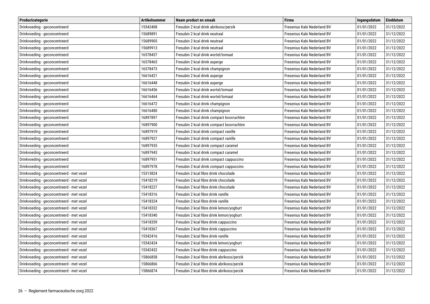| Productcategorie                          | <b>Artikelnummer</b> | Naam product en smaak                       | <b>Firma</b>                | Ingangsdatum | Einddatum  |
|-------------------------------------------|----------------------|---------------------------------------------|-----------------------------|--------------|------------|
| Drinkvoeding - geconcentreerd             | 15542408             | Fresubin 2 kcal drink abrikoos/perzik       | Fresenius Kabi Nederland BV | 01/01/2022   | 31/12/2022 |
| Drinkvoeding - geconcentreerd             | 15689891             | Fresubin 2 kcal drink neutraal              | Fresenius Kabi Nederland BV | 01/01/2022   | 31/12/2022 |
| Drinkvoeding - geconcentreerd             | 15689905             | Fresubin 2 kcal drink neutraal              | Fresenius Kabi Nederland BV | 01/01/2022   | 31/12/2022 |
| Drinkvoeding - geconcentreerd             | 15689913             | Fresubin 2 kcal drink neutraal              | Fresenius Kabi Nederland BV | 01/01/2022   | 31/12/2022 |
| Drinkvoeding - geconcentreerd             | 16578457             | Fresubin 2 kcal drink wortel/tomaat         | Fresenius Kabi Nederland BV | 01/01/2022   | 31/12/2022 |
| Drinkvoeding - geconcentreerd             | 16578465             | Fresubin 2 kcal drink asperge               | Fresenius Kabi Nederland BV | 01/01/2022   | 31/12/2022 |
| Drinkvoeding - geconcentreerd             | 16578473             | Fresubin 2 kcal drink champignon            | Fresenius Kabi Nederland BV | 01/01/2022   | 31/12/2022 |
| Drinkvoeding - geconcentreerd             | 16616421             | Fresubin 2 kcal drink asperge               | Fresenius Kabi Nederland BV | 01/01/2022   | 31/12/2022 |
| Drinkvoeding - geconcentreerd             | 16616448             | Fresubin 2 kcal drink asperge               | Fresenius Kabi Nederland BV | 01/01/2022   | 31/12/2022 |
| Drinkvoeding - geconcentreerd             | 16616456             | Fresubin 2 kcal drink wortel/tomaat         | Fresenius Kabi Nederland BV | 01/01/2022   | 31/12/2022 |
| Drinkvoeding - geconcentreerd             | 16616464             | Fresubin 2 kcal drink wortel/tomaat         | Fresenius Kabi Nederland BV | 01/01/2022   | 31/12/2022 |
| Drinkvoeding - geconcentreerd             | 16616472             | Fresubin 2 kcal drink champignon            | Fresenius Kabi Nederland BV | 01/01/2022   | 31/12/2022 |
| Drinkvoeding - geconcentreerd             | 16616480             | Fresubin 2 kcal drink champignon            | Fresenius Kabi Nederland BV | 01/01/2022   | 31/12/2022 |
| Drinkvoeding - geconcentreerd             | 16897897             | Fresubin 2 kcal drink compact bosvruchten   | Fresenius Kabi Nederland BV | 01/01/2022   | 31/12/2022 |
| Drinkvoeding - geconcentreerd             | 16897900             | Fresubin 2 kcal drink compact bosvruchten   | Fresenius Kabi Nederland BV | 01/01/2022   | 31/12/2022 |
| Drinkvoeding - geconcentreerd             | 16897919             | Fresubin 2 kcal drink compact vanille       | Fresenius Kabi Nederland BV | 01/01/2022   | 31/12/2022 |
| Drinkvoeding - geconcentreerd             | 16897927             | Fresubin 2 kcal drink compact vanille       | Fresenius Kabi Nederland BV | 01/01/2022   | 31/12/2022 |
| Drinkvoeding - geconcentreerd             | 16897935             | Fresubin 2 kcal drink compact caramel       | Fresenius Kabi Nederland BV | 01/01/2022   | 31/12/2022 |
| Drinkvoeding - geconcentreerd             | 16897943             | Fresubin 2 kcal drink compact caramel       | Fresenius Kabi Nederland BV | 01/01/2022   | 31/12/2022 |
| Drinkvoeding - geconcentreerd             | 16897951             | Fresubin 2 kcal drink compact cappuccino    | Fresenius Kabi Nederland BV | 01/01/2022   | 31/12/2022 |
| Drinkvoeding - geconcentreerd             | 16897978             | Fresubin 2 kcal drink compact cappuccino    | Fresenius Kabi Nederland BV | 01/01/2022   | 31/12/2022 |
| Drinkvoeding - geconcentreerd - met vezel | 15313824             | Fresubin 2 kcal fibre drink chocolade       | Fresenius Kabi Nederland BV | 01/01/2022   | 31/12/2022 |
| Drinkvoeding - geconcentreerd - met vezel | 15418219             | Fresubin 2 kcal fibre drink chocolade       | Fresenius Kabi Nederland BV | 01/01/2022   | 31/12/2022 |
| Drinkvoeding - geconcentreerd - met vezel | 15418227             | Fresubin 2 kcal fibre drink chocolade       | Fresenius Kabi Nederland BV | 01/01/2022   | 31/12/2022 |
| Drinkvoeding - geconcentreerd - met vezel | 15418316             | Fresubin 2 kcal fibre drink vanille         | Fresenius Kabi Nederland BV | 01/01/2022   | 31/12/2022 |
| Drinkvoeding - geconcentreerd - met vezel | 15418324             | Fresubin 2 kcal fibre drink vanille         | Fresenius Kabi Nederland BV | 01/01/2022   | 31/12/2022 |
| Drinkvoeding - geconcentreerd - met vezel | 15418332             | Fresubin 2 kcal fibre drink lemon/yoghurt   | Fresenius Kabi Nederland BV | 01/01/2022   | 31/12/2022 |
| Drinkvoeding - geconcentreerd - met vezel | 15418340             | Fresubin 2 kcal fibre drink lemon/yoghurt   | Fresenius Kabi Nederland BV | 01/01/2022   | 31/12/2022 |
| Drinkvoeding - geconcentreerd - met vezel | 15418359             | Fresubin 2 kcal fibre drink cappuccino      | Fresenius Kabi Nederland BV | 01/01/2022   | 31/12/2022 |
| Drinkvoeding - geconcentreerd - met vezel | 15418367             | Fresubin 2 kcal fibre drink cappuccino      | Fresenius Kabi Nederland BV | 01/01/2022   | 31/12/2022 |
| Drinkvoeding - geconcentreerd - met vezel | 15542416             | Fresubin 2 kcal fibre drink vanille         | Fresenius Kabi Nederland BV | 01/01/2022   | 31/12/2022 |
| Drinkvoeding - geconcentreerd - met vezel | 15542424             | Fresubin 2 kcal fibre drink lemon/yoghurt   | Fresenius Kabi Nederland BV | 01/01/2022   | 31/12/2022 |
| Drinkvoeding - geconcentreerd - met vezel | 15542432             | Fresubin 2 kcal fibre drink cappuccino      | Fresenius Kabi Nederland BV | 01/01/2022   | 31/12/2022 |
| Drinkvoeding - geconcentreerd - met vezel | 15866858             | Fresubin 2 kcal fibre drink abrikoos/perzik | Fresenius Kabi Nederland BV | 01/01/2022   | 31/12/2022 |
| Drinkvoeding - geconcentreerd - met vezel | 15866866             | Fresubin 2 kcal fibre drink abrikoos/perzik | Fresenius Kabi Nederland BV | 01/01/2022   | 31/12/2022 |
| Drinkvoeding - geconcentreerd - met vezel | 15866874             | Fresubin 2 kcal fibre drink abrikoos/perzik | Fresenius Kabi Nederland BV | 01/01/2022   | 31/12/2022 |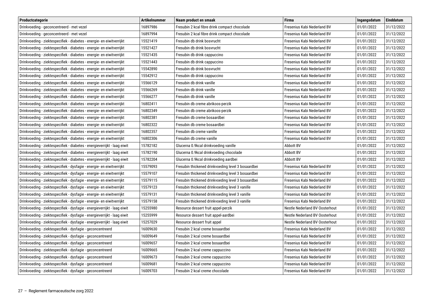| Productcategorie                                                         | <b>Artikelnummer</b> | Naam product en smaak                              | <b>Firma</b>                          | Ingangsdatum | Einddatum  |
|--------------------------------------------------------------------------|----------------------|----------------------------------------------------|---------------------------------------|--------------|------------|
| Drinkvoeding - geconcentreerd - met vezel                                | 16897986             | Fresubin 2 kcal fibre drink compact chocolade      | Fresenius Kabi Nederland BV           | 01/01/2022   | 31/12/2022 |
| Drinkvoeding - geconcentreerd - met vezel                                | 16897994             | Fresubin 2 kcal fibre drink compact chocolade      | Fresenius Kabi Nederland BV           | 01/01/2022   | 31/12/2022 |
| Drinkvoeding - ziektespecifiek - diabetes - energie- en eiwitverrijkt    | 15521419             | Fresubin db drink bosvrucht                        | Fresenius Kabi Nederland BV           | 01/01/2022   | 31/12/2022 |
| Drinkvoeding - ziektespecifiek - diabetes - energie- en eiwitverrijkt    | 15521427             | Fresubin db drink bosvrucht                        | Fresenius Kabi Nederland BV           | 01/01/2022   | 31/12/2022 |
| Drinkvoeding - ziektespecifiek - diabetes - energie- en eiwitverrijkt    | 15521435             | Fresubin db drink cappuccino                       | Fresenius Kabi Nederland BV           | 01/01/2022   | 31/12/2022 |
| Drinkvoeding - ziektespecifiek - diabetes - energie- en eiwitverrijkt    | 15521443             | Fresubin db drink cappuccino                       | Fresenius Kabi Nederland BV           | 01/01/2022   | 31/12/2022 |
| Drinkvoeding - ziektespecifiek - diabetes - energie- en eiwitverrijkt    | 15542890             | Fresubin db drink bosvrucht                        | Fresenius Kabi Nederland BV           | 01/01/2022   | 31/12/2022 |
| Drinkvoeding - ziektespecifiek - diabetes - energie- en eiwitverrijkt    | 15542912             | Fresubin db drink cappuccino                       | Fresenius Kabi Nederland BV           | 01/01/2022   | 31/12/2022 |
| Drinkvoeding - ziektespecifiek - diabetes - energie- en eiwitverrijkt    | 15566129             | Fresubin db drink vanille                          | Fresenius Kabi Nederland BV           | 01/01/2022   | 31/12/2022 |
| Drinkvoeding - ziektespecifiek - diabetes - energie- en eiwitverrijkt    | 15566269             | Fresubin db drink vanille                          | Fresenius Kabi Nederland BV           | 01/01/2022   | 31/12/2022 |
| Drinkvoeding - ziektespecifiek - diabetes - energie- en eiwitverrijkt    | 15566277             | Fresubin db drink vanille                          | Fresenius Kabi Nederland BV           | 01/01/2022   | 31/12/2022 |
| Drinkvoeding - ziektespecifiek - diabetes - energie- en eiwitverrijkt    | 16802411             | Fresubin db creme abrikoos-perzik                  | Fresenius Kabi Nederland BV           | 01/01/2022   | 31/12/2022 |
| Drinkvoeding - ziektespecifiek - diabetes - energie- en eiwitverrijkt    | 16802349             | Fresubin db creme abrikoos-perzik                  | Fresenius Kabi Nederland BV           | 01/01/2022   | 31/12/2022 |
| Drinkvoeding - ziektespecifiek - diabetes - energie- en eiwitverrijkt    | 16802381             | Fresubin db creme bosaardbei                       | Fresenius Kabi Nederland BV           | 01/01/2022   | 31/12/2022 |
| Drinkvoeding - ziektespecifiek - diabetes - energie- en eiwitverrijkt    | 16802322             | Fresubin db creme bosaardbei                       | Fresenius Kabi Nederland BV           | 01/01/2022   | 31/12/2022 |
| Drinkvoeding - ziektespecifiek - diabetes - energie- en eiwitverrijkt    | 16802357             | Fresubin db creme vanille                          | Fresenius Kabi Nederland BV           | 01/01/2022   | 31/12/2022 |
| Drinkvoeding - ziektespecifiek - diabetes - energie- en eiwitverrijkt    | 16802306             | Fresubin db creme vanille                          | Fresenius Kabi Nederland BV           | 01/01/2022   | 31/12/2022 |
| Drinkvoeding - ziektespecifiek - diabetes - energieverrijkt - laag eiwit | 15782182             | Glucerna 0.9kcal drinkvoeding vanille              | Abbott BV                             | 01/01/2022   | 31/12/2022 |
| Drinkvoeding - ziektespecifiek - diabetes - energieverrijkt - laag eiwit | 15782190             | Glucerna 0.9kcal drinkvoeding chocolade            | Abbott BV                             | 01/01/2022   | 31/12/2022 |
| Drinkvoeding - ziektespecifiek - diabetes - energieverrijkt - laag eiwit | 15782204             | Glucerna 0.9kcal drinkvoeding aardbei              | <b>Abbott BV</b>                      | 01/01/2022   | 31/12/2022 |
| Drinkvoeding - ziektespecifiek - dysfagie - energie- en eiwitverrijkt    | 15579093             | Fresubin thickened drinkvoeding level 3 bosaardbei | Fresenius Kabi Nederland BV           | 01/01/2022   | 31/12/2022 |
| Drinkvoeding - ziektespecifiek - dysfagie - energie- en eiwitverrijkt    | 15579107             | Fresubin thickened drinkvoeding level 3 bosaardbei | Fresenius Kabi Nederland BV           | 01/01/2022   | 31/12/2022 |
| Drinkvoeding - ziektespecifiek - dysfagie - energie- en eiwitverrijkt    | 15579115             | Fresubin thickened drinkvoeding level 3 bosaardbei | Fresenius Kabi Nederland BV           | 01/01/2022   | 31/12/2022 |
| Drinkvoeding - ziektespecifiek - dysfagie - energie- en eiwitverrijkt    | 15579123             | Fresubin thickened drinkvoeding level 3 vanille    | Fresenius Kabi Nederland BV           | 01/01/2022   | 31/12/2022 |
| Drinkvoeding - ziektespecifiek - dysfagie - energie- en eiwitverrijkt    | 15579131             | Fresubin thickened drinkvoeding level 3 vanille    | Fresenius Kabi Nederland BV           | 01/01/2022   | 31/12/2022 |
| Drinkvoeding - ziektespecifiek - dysfagie - energie- en eiwitverrijkt    | 15579158             | Fresubin thickened drinkvoeding level 3 vanille    | Fresenius Kabi Nederland BV           | 01/01/2022   | 31/12/2022 |
| Drinkvoeding - ziektespecifiek - dysfagie - energieverrijkt - laag eiwit | 15255980             | Resource dessert fruit appel-perzik                | Nestle Nederland BV Oosterhout        | 01/01/2022   | 31/12/2022 |
| Drinkvoeding - ziektespecifiek - dysfagie - energieverrijkt - laag eiwit | 15255999             | Resource dessert fruit appel-aardbei               | Nestle Nederland BV Oosterhout        | 01/01/2022   | 31/12/2022 |
| Drinkvoeding - ziektespecifiek - dysfagie - energieverrijkt - laag eiwit | 15257029             | Resource dessert fruit appel                       | <b>Nestle Nederland BV Oosterhout</b> | 01/01/2022   | 31/12/2022 |
| Drinkvoeding - ziektespecifiek - dysfagie - geconcentreerd               | 16009630             | Fresubin 2 kcal creme bosaardbei                   | Fresenius Kabi Nederland BV           | 01/01/2022   | 31/12/2022 |
| Drinkvoeding - ziektespecifiek - dysfagie - geconcentreerd               | 16009649             | Fresubin 2 kcal creme bosaardbei                   | Fresenius Kabi Nederland BV           | 01/01/2022   | 31/12/2022 |
| Drinkvoeding - ziektespecifiek - dysfagie - geconcentreerd               | 16009657             | Fresubin 2 kcal creme bosaardbei                   | Fresenius Kabi Nederland BV           | 01/01/2022   | 31/12/2022 |
| Drinkvoeding - ziektespecifiek - dysfagie - geconcentreerd               | 16009665             | Fresubin 2 kcal creme cappuccino                   | Fresenius Kabi Nederland BV           | 01/01/2022   | 31/12/2022 |
| Drinkvoeding - ziektespecifiek - dysfagie - geconcentreerd               | 16009673             | Fresubin 2 kcal creme cappuccino                   | Fresenius Kabi Nederland BV           | 01/01/2022   | 31/12/2022 |
| Drinkvoeding - ziektespecifiek - dysfagie - geconcentreerd               | 16009681             | Fresubin 2 kcal creme cappuccino                   | Fresenius Kabi Nederland BV           | 01/01/2022   | 31/12/2022 |
| Drinkvoeding - ziektespecifiek - dysfagie - geconcentreerd               | 16009703             | Fresubin 2 kcal creme chocolade                    | Fresenius Kabi Nederland BV           | 01/01/2022   | 31/12/2022 |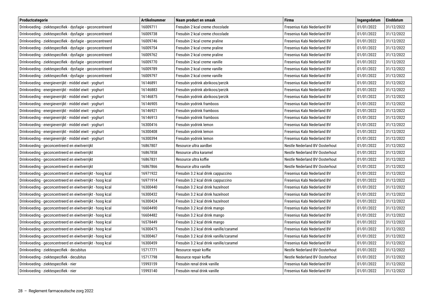| Productcategorie                                           | <b>Artikelnummer</b> | Naam product en smaak                   | <b>Firma</b>                          | Ingangsdatum | Einddatum  |
|------------------------------------------------------------|----------------------|-----------------------------------------|---------------------------------------|--------------|------------|
| Drinkvoeding - ziektespecifiek - dysfagie - geconcentreerd | 16009711             | Fresubin 2 kcal creme chocolade         | Fresenius Kabi Nederland BV           | 01/01/2022   | 31/12/2022 |
| Drinkvoeding - ziektespecifiek - dysfagie - geconcentreerd | 16009738             | Fresubin 2 kcal creme chocolade         | Fresenius Kabi Nederland BV           | 01/01/2022   | 31/12/2022 |
| Drinkvoeding - ziektespecifiek - dysfagie - geconcentreerd | 16009746             | Fresubin 2 kcal creme praline           | Fresenius Kabi Nederland BV           | 01/01/2022   | 31/12/2022 |
| Drinkvoeding - ziektespecifiek - dysfagie - geconcentreerd | 16009754             | Fresubin 2 kcal creme praline           | Fresenius Kabi Nederland BV           | 01/01/2022   | 31/12/2022 |
| Drinkvoeding - ziektespecifiek - dysfagie - geconcentreerd | 16009762             | Fresubin 2 kcal creme praline           | Fresenius Kabi Nederland BV           | 01/01/2022   | 31/12/2022 |
| Drinkvoeding - ziektespecifiek - dysfagie - geconcentreerd | 16009770             | Fresubin 2 kcal creme vanille           | Fresenius Kabi Nederland BV           | 01/01/2022   | 31/12/2022 |
| Drinkvoeding - ziektespecifiek - dysfagie - geconcentreerd | 16009789             | Fresubin 2 kcal creme vanille           | Fresenius Kabi Nederland BV           | 01/01/2022   | 31/12/2022 |
| Drinkvoeding - ziektespecifiek - dysfagie - geconcentreerd | 16009797             | Fresubin 2 kcal creme vanille           | Fresenius Kabi Nederland BV           | 01/01/2022   | 31/12/2022 |
| Drinkvoeding - energieverrijkt - middel eiwit - yoghurt    | 16146891             | Fresubin yodrink abrikoos/perzik        | Fresenius Kabi Nederland BV           | 01/01/2022   | 31/12/2022 |
| Drinkvoeding - energieverrijkt - middel eiwit - yoghurt    | 16146883             | Fresubin yodrink abrikoos/perzik        | Fresenius Kabi Nederland BV           | 01/01/2022   | 31/12/2022 |
| Drinkvoeding - energieverrijkt - middel eiwit - yoghurt    | 16146875             | Fresubin yodrink abrikoos/perzik        | Fresenius Kabi Nederland BV           | 01/01/2022   | 31/12/2022 |
| Drinkvoeding - energieverrijkt - middel eiwit - yoghurt    | 16146905             | Fresubin yodrink framboos               | Fresenius Kabi Nederland BV           | 01/01/2022   | 31/12/2022 |
| Drinkvoeding - energieverrijkt - middel eiwit - yoghurt    | 16146921             | Fresubin yodrink framboos               | Fresenius Kabi Nederland BV           | 01/01/2022   | 31/12/2022 |
| Drinkvoeding - energieverrijkt - middel eiwit - yoghurt    | 16146913             | Fresubin yodrink framboos               | Fresenius Kabi Nederland BV           | 01/01/2022   | 31/12/2022 |
| Drinkvoeding - energieverrijkt - middel eiwit - yoghurt    | 16300416             | Fresubin yodrink lemon                  | Fresenius Kabi Nederland BV           | 01/01/2022   | 31/12/2022 |
| Drinkvoeding - energieverrijkt - middel eiwit - yoghurt    | 16300408             | Fresubin yodrink lemon                  | Fresenius Kabi Nederland BV           | 01/01/2022   | 31/12/2022 |
| Drinkvoeding - energieverrijkt - middel eiwit - yoghurt    | 16300394             | Fresubin yodrink lemon                  | Fresenius Kabi Nederland BV           | 01/01/2022   | 31/12/2022 |
| Drinkvoeding - geconcentreerd en eiwitverrijkt             | 16867807             | Resource ultra aardbei                  | Nestle Nederland BV Oosterhout        | 01/01/2022   | 31/12/2022 |
| Drinkvoeding - geconcentreerd en eiwitverrijkt             | 16867858             | Resource ultra karamel                  | Nestle Nederland BV Oosterhout        | 01/01/2022   | 31/12/2022 |
| Drinkvoeding - geconcentreerd en eiwitverrijkt             | 16867831             | Resource ultra koffie                   | Nestle Nederland BV Oosterhout        | 01/01/2022   | 31/12/2022 |
| Drinkvoeding - geconcentreerd en eiwitverrijkt             | 16867866             | Resource ultra vanille                  | <b>Nestle Nederland BV Oosterhout</b> | 01/01/2022   | 31/12/2022 |
| Drinkvoeding - geconcentreerd en eiwitverrijkt - hoog kcal | 16971922             | Fresubin 3.2 kcal drink cappuccino      | Fresenius Kabi Nederland BV           | 01/01/2022   | 31/12/2022 |
| Drinkvoeding - geconcentreerd en eiwitverrijkt - hoog kcal | 16971914             | Fresubin 3.2 kcal drink cappuccino      | Fresenius Kabi Nederland BV           | 01/01/2022   | 31/12/2022 |
| Drinkvoeding - geconcentreerd en eiwitverrijkt - hoog kcal | 16300440             | Fresubin 3.2 kcal drink hazelnoot       | Fresenius Kabi Nederland BV           | 01/01/2022   | 31/12/2022 |
| Drinkvoeding - geconcentreerd en eiwitverrijkt - hoog kcal | 16300432             | Fresubin 3.2 kcal drink hazelnoot       | Fresenius Kabi Nederland BV           | 01/01/2022   | 31/12/2022 |
| Drinkvoeding - geconcentreerd en eiwitverrijkt - hoog kcal | 16300424             | Fresubin 3.2 kcal drink hazelnoot       | Fresenius Kabi Nederland BV           | 01/01/2022   | 31/12/2022 |
| Drinkvoeding - geconcentreerd en eiwitverrijkt - hoog kcal | 16604490             | Fresubin 3.2 kcal drink mango           | Fresenius Kabi Nederland BV           | 01/01/2022   | 31/12/2022 |
| Drinkvoeding - geconcentreerd en eiwitverrijkt - hoog kcal | 16604482             | Fresubin 3.2 kcal drink mango           | Fresenius Kabi Nederland BV           | 01/01/2022   | 31/12/2022 |
| Drinkvoeding - geconcentreerd en eiwitverrijkt - hoog kcal | 16578449             | Fresubin 3.2 kcal drink mango           | Fresenius Kabi Nederland BV           | 01/01/2022   | 31/12/2022 |
| Drinkvoeding - geconcentreerd en eiwitverrijkt - hoog kcal | 16300475             | Fresubin 3.2 kcal drink vanille/caramel | Fresenius Kabi Nederland BV           | 01/01/2022   | 31/12/2022 |
| Drinkvoeding - geconcentreerd en eiwitverrijkt - hoog kcal | 16300467             | Fresubin 3.2 kcal drink vanille/caramel | Fresenius Kabi Nederland BV           | 01/01/2022   | 31/12/2022 |
| Drinkvoeding - geconcentreerd en eiwitverrijkt - hoog kcal | 16300459             | Fresubin 3.2 kcal drink vanille/caramel | Fresenius Kabi Nederland BV           | 01/01/2022   | 31/12/2022 |
| Drinkvoeding - ziektespecifiek - decubitus                 | 15717771             | Resource repair koffie                  | <b>Nestle Nederland BV Oosterhout</b> | 01/01/2022   | 31/12/2022 |
| Drinkvoeding - ziektespecifiek - decubitus                 | 15717798             | Resource repair koffie                  | Nestle Nederland BV Oosterhout        | 01/01/2022   | 31/12/2022 |
| Drinkvoeding - ziektespecifiek - nier                      | 15993159             | Fresubin renal drink vanille            | Fresenius Kabi Nederland BV           | 01/01/2022   | 31/12/2022 |
| Drinkvoeding - ziektespecifiek - nier                      | 15993140             | Fresubin renal drink vanille            | Fresenius Kabi Nederland BV           | 01/01/2022   | 31/12/2022 |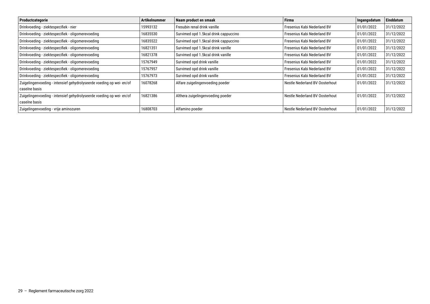| Productcategorie                                                     | <b>Artikelnummer</b> | Naam product en smaak                 | <b>Firma</b>                   | Ingangsdatum | <b>Einddatum</b> |
|----------------------------------------------------------------------|----------------------|---------------------------------------|--------------------------------|--------------|------------------|
| Drinkvoeding - ziektespecifiek - nier                                | 15993132             | Fresubin renal drink vanille          | Fresenius Kabi Nederland BV    | 01/01/2022   | 31/12/2022       |
| Drinkvoeding - ziektespecifiek - oligomerevoeding                    | 16835530             | Survimed opd 1.5kcal drink cappuccino | Fresenius Kabi Nederland BV    | 01/01/2022   | 31/12/2022       |
| Drinkvoeding - ziektespecifiek - oligomerevoeding                    | 16835522             | Survimed opd 1.5kcal drink cappuccino | Fresenius Kabi Nederland BV    | 01/01/2022   | 31/12/2022       |
| Drinkvoeding - ziektespecifiek - oligomerevoeding                    | 16821351             | Survimed opd 1.5kcal drink vanille    | Fresenius Kabi Nederland BV    | 01/01/2022   | 31/12/2022       |
| Drinkvoeding - ziektespecifiek - oligomerevoeding                    | 16821378             | Survimed opd 1.5kcal drink vanille    | Fresenius Kabi Nederland BV    | 01/01/2022   | 31/12/2022       |
| Drinkvoeding - ziektespecifiek - oligomerevoeding                    | 15767949             | Survimed opd drink vanille            | Fresenius Kabi Nederland BV    | 01/01/2022   | 31/12/2022       |
| Drinkvoeding - ziektespecifiek - oligomerevoeding                    | 15767957             | Survimed opd drink vanille            | Fresenius Kabi Nederland BV    | 01/01/2022   | 31/12/2022       |
| Drinkvoeding - ziektespecifiek - oligomerevoeding                    | 15767973             | Survimed opd drink vanille            | Fresenius Kabi Nederland BV    | 01/01/2022   | 31/12/2022       |
| Zuigelingenvoeding - intensief gehydrolyseerde voeding op wei- en/of | 16078268             | Alfare zuigelingenvoeding poeder      | Nestle Nederland BV Oosterhout | 01/01/2022   | 31/12/2022       |
| caseïne basis                                                        |                      |                                       |                                |              |                  |
| Zuigelingenvoeding - intensief gehydrolyseerde voeding op wei- en/of | 16821386             | Althera zuigelingenvoeding poeder     | Nestle Nederland BV Oosterhout | 01/01/2022   | 31/12/2022       |
| caseïne basis                                                        |                      |                                       |                                |              |                  |
| Zuigelingenvoeding - vrije aminozuren                                | 16808703             | Alfamino poeder                       | Nestle Nederland BV Oosterhout | 01/01/2022   | 31/12/2022       |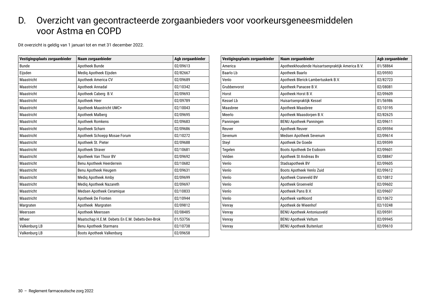#### <span id="page-29-0"></span>D. Overzicht van gecontracteerde zorgaanbieders voor voorkeursgeneesmiddelen voor Astma en COPD

Dit overzicht is geldig van 1 januari tot en met 31 december 2022.

| Vestigingsplaats zorgaanbieder | Naam zorgaanbieder                              | Agb zorgaanbieder |
|--------------------------------|-------------------------------------------------|-------------------|
| <b>Bunde</b>                   | Apotheek Bunde                                  | 02/09613          |
| Eijsden                        | Mediq Apotheek Eijsden                          | 02/82667          |
| Maastricht                     | Apotheek America CV                             | 02/09689          |
| Maastricht                     | Apotheek Annadal                                | 02/10342          |
| Maastricht                     | Apotheek Caberg B.V.                            | 02/09693          |
| Maastricht                     | Apotheek Heer                                   | 02/09789          |
| Maastricht                     | Apotheek Maastricht UMC+                        | 02/10043          |
| Maastricht                     | Apotheek Malberg                                | 02/09695          |
| Maastricht                     | Apotheek Romkens                                | 02/09683          |
| Maastricht                     | Apotheek Scharn                                 | 02/09686          |
| Maastricht                     | Apotheek Schoepp Mosae Forum                    | 02/10272          |
| Maastricht                     | Apotheek St. Pieter                             | 02/09688          |
| Maastricht                     | Apotheek Straver                                | 02/10681          |
| Maastricht                     | Apotheek Van Thoor BV                           | 02/09692          |
| Maastricht                     | Benu Apotheek Heerderrein                       | 02/10682          |
| Maastricht                     | Benu Apotheek Heugem                            | 02/09631          |
| Maastricht                     | Mediq Apotheek Amby                             | 02/09699          |
| Maastricht                     | Mediq Apotheek Nazareth                         | 02/09697          |
| Maastricht                     | Medsen Apotheek Ceramique                       | 02/10833          |
| Maastricht                     | Apotheek De Fronten                             | 02/10944          |
| Margraten                      | Apotheek Margraten                              | 02/09812          |
| Meerssen                       | Apotheek Meerssen                               | 02/08485          |
| Mheer                          | Maatschap H.E.M. Debets En E.M. Debets-Den-Brok | 01/53756          |
| Valkenburg LB                  | Benu Apotheek Starmans                          | 02/10738          |
| Valkenburg LB                  | Boots Apotheek Valkenburg                       | 02/09658          |

| Vestigingsplaats zorgaanbieder | Naam zorgaanbieder                               | Agb zorgaanbieder |
|--------------------------------|--------------------------------------------------|-------------------|
| America                        | Apotheekhoudende Huisartsenpraktijk America B.V. | 01/58864          |
| Baarlo Lb                      | Apotheek Baarlo                                  | 02/09593          |
| Venlo                          | Apotheek Blerick-Lambertuskerk B.V.              | 02/82723          |
| Grubbenvorst                   | Apotheek Panacee B.V.                            | 02/08081          |
| Horst                          | Apotheek Horst B.V.                              | 02/09609          |
| Kessel Lb                      | Huisartsenpraktijk Kessel                        | 01/56986          |
| Maasbree                       | Apotheek Maasbree                                | 02/10195          |
| Meerlo                         | Apotheek Maasdorpen B.V.                         | 02/82625          |
| Panningen                      | <b>BENU Apotheek Panningen</b>                   | 02/09611          |
| Reuver                         | Apotheek Reuver                                  | 02/09594          |
| Sevenum                        | Medsen Apotheek Sevenum                          | 02/09614          |
| Steyl                          | Apotheek De Goede                                | 02/09599          |
| Tegelen                        | Boots Apotheek De Esdoorn                        | 02/09601          |
| Velden                         | Apotheek St Andreas Bv                           | 02/08847          |
| Venlo                          | Stadsapotheek BV                                 | 02/09605          |
| Venlo                          | Boots Apotheek Venlo Zuid                        | 02/09612          |
| Venlo                          | Apotheek Craneveld BV                            | 02/10812          |
| Venlo                          | Apotheek Groenveld                               | 02/09602          |
| Venlo                          | Apotheek Pans B.V.                               | 02/09607          |
| Venlo                          | Apotheek vanNoord                                | 02/10672          |
| Venray                         | Apotheek de Wieenhof                             | 02/10248          |
| Venray                         | <b>BENU Apotheek Antoniusveld</b>                | 02/09591          |
| Venray                         | <b>BENU Apotheek Veltum</b>                      | 02/09945          |
| Venray                         | <b>BENU Apotheek Buitenlust</b>                  | 02/09610          |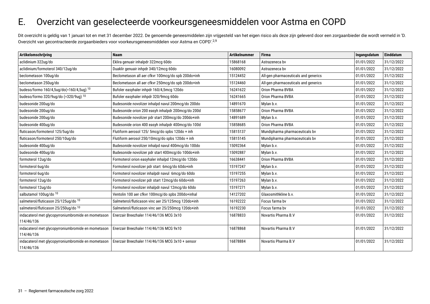#### <span id="page-30-0"></span>E. Overzicht van geselecteerde voorkeursgeneesmiddelen voor Astma en COPD

Dit overzicht is geldig van 1 januari tot en met 31 december 2022. De genoemde geneesmiddelen zijn vrijgesteld van het eigen risico als deze zijn geleverd door een zorgaanbieder die wordt vermeld in 'D. Overzicht van gecontracteerde zorgaanbieders voor voorkeursgeneesmiddelen voor Astma en COPD'.2,9

| Artikelomschrijving                                | <b>Naam</b>                                        | <b>Artikelnummer</b> | <b>Firma</b>                         | Ingangsdatum | Einddatum  |
|----------------------------------------------------|----------------------------------------------------|----------------------|--------------------------------------|--------------|------------|
| aclidinium 322ug/do                                | Eklira genuair inhalpdr 322mcg 60do                | 15868168             | Astrazeneca by                       | 01/01/2022   | 31/12/2022 |
| aclidinium/formoterol 340/12ug/do                  | Duaklir genuair inhpdr 340/12mcg 60do              | 16080092             | Astrazeneca by                       | 01/01/2022   | 31/12/2022 |
| beclometason 100ug/do                              | Beclometason all aer cfkvr 100mcg/do spb 200do+inh | 15124452             | All-gen pharmaceuticals and generics | 01/01/2022   | 31/12/2022 |
| beclometason 250ug/do                              | Beclometason all aer cfkvr 250mcg/do spb 200do+inh | 15124460             | All-gen pharmaceuticals and generics | 01/01/2022   | 31/12/2022 |
| budeso/formo 160/4,5ug/do(=160/4,5ug) 10           | Bufoler easyhaler inhpdr 160/4,5mcg 120do          | 16241622             | Orion Pharma BVBA                    | 01/01/2022   | 31/12/2022 |
| budeso/formo 320/9ug/do (=320/9ug) 10              | Bufoler easyhaler inhpdr 320/9mcg 60do             | 16241665             | Orion Pharma BVBA                    | 01/01/2022   | 31/12/2022 |
| budesonide 200ug/do                                | Budesonide novolizer inhalpd navul 200mcg/do 200do | 14891670             | Mylan b.v.                           | 01/01/2022   | 31/12/2022 |
| budesonide 200ug/do                                | Budesonide orion 200 easyh inhalpdr 200mcq/do 200d | 15858677             | Orion Pharma BVBA                    | 01/01/2022   | 31/12/2022 |
| budesonide 200ug/do                                | Budesonide novolizer pdr start 200mcg/do 200do+inh | 14891689             | Mylan b.v.                           | 01/01/2022   | 31/12/2022 |
| budesonide 400ug/do                                | Budesonide orion 400 easyh inhalpdr 400mcq/do 100d | 15858685             | Orion Pharma BVBA                    | 01/01/2022   | 31/12/2022 |
| fluticason/formoterol 125/5ug/do                   | Flutiform aerosol 125/ 5mcg/do spbs 120do + inh    | 15815137             | Mundipharma pharmaceuticals bv       | 01/01/2022   | 31/12/2022 |
| fluticason/formoterol 250/10ug/do                  | Flutiform aerosol 250/10mcg/do spbs 120do + inh    | 15815145             | Mundipharma pharmaceuticals bv       | 01/01/2022   | 31/12/2022 |
| budesonide 400ug/do                                | Budesonide novolizer inhalpd navul 400mcg/do 100do | 15092364             | Mylan b.v.                           | 01/01/2022   | 31/12/2022 |
| budesonide 400ug/do                                | Budesonide novolizer pdr start 400mcg/do 100do+inh | 15092887             | Mylan b.v.                           | 01/01/2022   | 31/12/2022 |
| formoterol 12ug/do                                 | Formoterol orion easyhaler inhalpd 12mcg/do 120do  | 16638441             | Orion Pharma BVBA                    | 01/01/2022   | 31/12/2022 |
| formoterol 6ug/do                                  | Formoterol novolizer pdr start 6mcg/do 60do+inh    | 15197247             | Mylan b.v.                           | 01/01/2022   | 31/12/2022 |
| formoterol 6ug/do                                  | Formoterol novolizer inhalpdr navul 6mcg/do 60do   | 15197255             | Mylan b.v.                           | 01/01/2022   | 31/12/2022 |
| formoterol 12ug/do                                 | Formoterol novolizer pdr start 12mcg/do 60do+inh   | 15197263             | Mylan b.v.                           | 01/01/2022   | 31/12/2022 |
| formoterol 12ug/do                                 | Formoterol novolizer inhalpdr navul 12mcg/do 60do  | 15197271             | Mylan b.v.                           | 01/01/2022   | 31/12/2022 |
| salbutamol 100ug/do 10                             | Ventolin 100 aer cfkvr 100mcg/do spbs 200do+inhal  | 14127202             | Glaxosmithkline b.v.                 | 01/01/2022   | 31/12/2022 |
| salmeterol/fluticason 25/125ug/do <sup>10</sup>    | Salmeterol/fluticason vinc aer 25/125mcg 120do+inh | 16192222             | Focus farma by                       | 01/01/2022   | 31/12/2022 |
| salmeterol/fluticason 25/250ug/do 10               | Salmeterol/fluticason vinc aer 25/250mcg 120do+inh | 16192230             | Focus farma by                       | 01/01/2022   | 31/12/2022 |
| indacaterol met glycopyrroniumbromide en mometason | Enerzair Breezhaler 114/46/136 MCG 3x10            | 16878833             | Novartis Pharma B.V                  | 01/01/2022   | 31/12/2022 |
| 114/46/136                                         |                                                    |                      |                                      |              |            |
| indacaterol met glycopyrroniumbromide en mometason | Enerzair Breezhaler 114/46/136 MCG 9x10            | 16878868             | Novartis Pharma B.V                  | 01/01/2022   | 31/12/2022 |
| 114/46/136                                         |                                                    |                      |                                      |              |            |
| indacaterol met glycopyrroniumbromide en mometason | Enerzair Breezhaler 114/46/136 MCG 3x10 + sensor   | 16878884             | Novartis Pharma B.V                  | 01/01/2022   | 31/12/2022 |
| 114/46/136                                         |                                                    |                      |                                      |              |            |